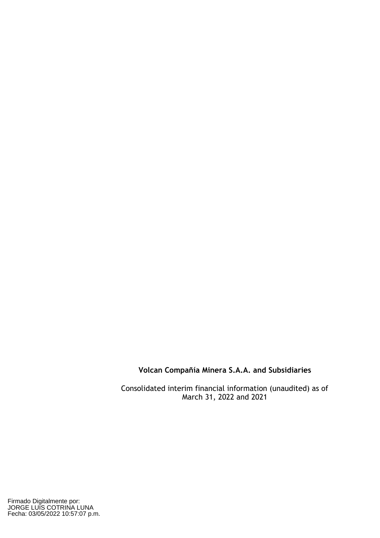Consolidated interim financial information (unaudited) as of March 31, 2022 and 2021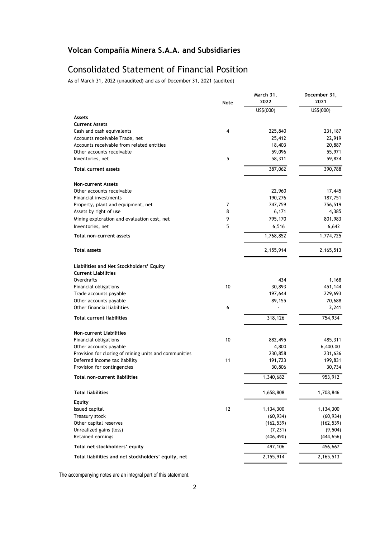# Consolidated Statement of Financial Position

As of March 31, 2022 (unaudited) and as of December 31, 2021 (audited)

|                                                                             | Note | March 31,<br>2022 | December 31,<br>2021 |
|-----------------------------------------------------------------------------|------|-------------------|----------------------|
|                                                                             |      | US\$(000)         | US\$(000)            |
| Assets                                                                      |      |                   |                      |
| <b>Current Assets</b>                                                       |      |                   |                      |
| Cash and cash equivalents                                                   | 4    | 225,840           | 231,187              |
| Accounts receivable Trade, net<br>Accounts receivable from related entities |      | 25,412            | 22,919<br>20,887     |
| Other accounts receivable                                                   |      | 18,403<br>59,096  | 55,971               |
| Inventories, net                                                            | 5    | 58,311            | 59,824               |
| <b>Total current assets</b>                                                 |      | 387,062           | 390,788              |
|                                                                             |      |                   |                      |
| <b>Non-current Assets</b>                                                   |      |                   |                      |
| Other accounts receivable                                                   |      | 22,960            | 17,445               |
| Financial investments                                                       |      | 190,276           | 187,751              |
| Property, plant and equipment, net                                          | 7    | 747,759           | 756,519              |
| Assets by right of use                                                      | 8    | 6,171             | 4,385                |
| Mining exploration and evaluation cost, net                                 | 9    | 795,170           | 801,983              |
| Inventories, net                                                            | 5    | 6,516             | 6,642                |
| Total non-current assets                                                    |      | 1,768,852         | 1,774,725            |
| <b>Total assets</b>                                                         |      | 2,155,914         | 2,165,513            |
| Liabilities and Net Stockholders' Equity                                    |      |                   |                      |
| <b>Current Liabilities</b>                                                  |      |                   |                      |
| Overdrafts                                                                  |      | 434               | 1,168                |
| Financial obligations                                                       | 10   | 30,893            | 451,144              |
| Trade accounts payable                                                      |      | 197,644           | 229,693              |
| Other accounts payable                                                      |      | 89,155            | 70,688               |
| Other financial liabilities                                                 | 6    |                   | 2,241                |
| <b>Total current liabilities</b>                                            |      | 318,126           | 754,934              |
| <b>Non-current Liabilities</b>                                              |      |                   |                      |
| <b>Financial obligations</b>                                                | 10   | 882,495           | 485,311              |
| Other accounts payable                                                      |      | 4,800             | 6,400.00             |
| Provision for closing of mining units and communities                       |      | 230,858           | 231,636              |
| Deferred income tax liability                                               | 11   | 191,723           | 199,831              |
| Provision for contingencies                                                 |      | 30,806            | 30,734               |
| Total non-current liabilities                                               |      | 1,340,682         | 953,912              |
| <b>Total liabilities</b>                                                    |      | 1,658,808         | 1,708,846            |
| Equity                                                                      |      |                   |                      |
| Issued capital                                                              | 12   | 1,134,300         | 1,134,300            |
| Treasury stock                                                              |      | (60, 934)         | (60, 934)            |
| Other capital reserves                                                      |      | (162, 539)        | (162, 539)           |
| Unrealized gains (loss)                                                     |      | (7, 231)          | (9, 504)             |
| Retained earnings                                                           |      | (406, 490)        | (444, 656)           |
| Total net stockholders' equity                                              |      | 497,106           | 456,667              |
| Total liabilities and net stockholders' equity, net                         |      | 2,155,914         | 2,165,513            |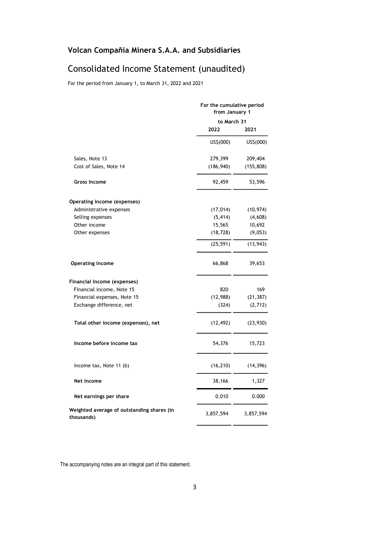# Consolidated Income Statement (unaudited)

For the period from January 1, to March 31, 2022 and 2021

|                                                          |             | For the cumulative period<br>from January 1 |  |  |
|----------------------------------------------------------|-------------|---------------------------------------------|--|--|
|                                                          | to March 31 |                                             |  |  |
|                                                          | 2022        | 2021                                        |  |  |
|                                                          | US\$(000)   | US\$(000)                                   |  |  |
| Sales, Note 13                                           | 279,399     | 209,404                                     |  |  |
| Cost of Sales, Note 14                                   | (186, 940)  | (155, 808)                                  |  |  |
| <b>Gross Income</b>                                      | 92,459      | 53,596                                      |  |  |
| Operating income (expenses)                              |             |                                             |  |  |
| Administrative expenses                                  | (17, 014)   | (10, 974)                                   |  |  |
| Selling expenses                                         | (5, 414)    | (4,608)                                     |  |  |
| Other income                                             | 15,565      | 10,692                                      |  |  |
| Other expenses                                           | (18, 728)   | (9,053)                                     |  |  |
|                                                          | (25, 591)   | (13, 943)                                   |  |  |
| <b>Operating income</b>                                  | 66,868      | 39,653                                      |  |  |
| Financial income (expenses)                              |             |                                             |  |  |
| Financial income, Note 15                                | 820         | 169                                         |  |  |
| Financial expenses, Note 15                              | (12, 988)   | (21, 387)                                   |  |  |
| Exchange difference, net                                 | (324)       | (2,712)                                     |  |  |
| Total other income (expenses), net                       | (12, 492)   | (23,930)                                    |  |  |
| Income before income tax                                 | 54,376      | 15,723                                      |  |  |
| Income tax, Note 11 (b)                                  | (16, 210)   | (14, 396)                                   |  |  |
| Net income                                               | 38,166      | 1,327                                       |  |  |
| Net earnings per share                                   | 0.010       | 0.000                                       |  |  |
| Weighted average of outstanding shares (in<br>thousands) | 3,857,594   | 3,857,594                                   |  |  |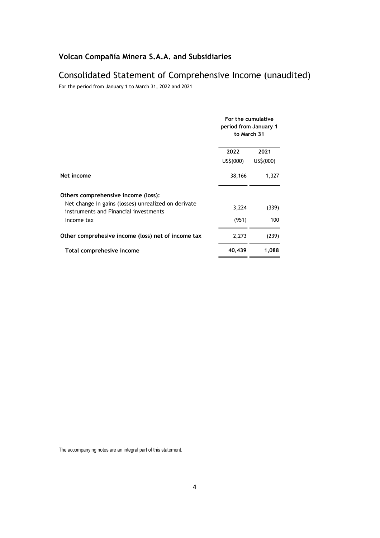# Consolidated Statement of Comprehensive Income (unaudited)

For the period from January 1 to March 31, 2022 and 2021

|                                                                                                                                     | For the cumulative<br>period from January 1<br>to March 31 |                   |  |
|-------------------------------------------------------------------------------------------------------------------------------------|------------------------------------------------------------|-------------------|--|
|                                                                                                                                     | 2022<br>US\$(000)                                          | 2021<br>US\$(000) |  |
| Net income                                                                                                                          | 38,166                                                     | 1,327             |  |
| Others comprehensive income (loss):<br>Net change in gains (losses) unrealized on derivate<br>instruments and Financial investments | 3,224                                                      | (339)             |  |
| Income tax                                                                                                                          | (951)                                                      | 100               |  |
| Other comprehesive income (loss) net of income tax                                                                                  | 2,273                                                      | (239)             |  |
| Total comprehesive income                                                                                                           | 40,439                                                     | 1,088             |  |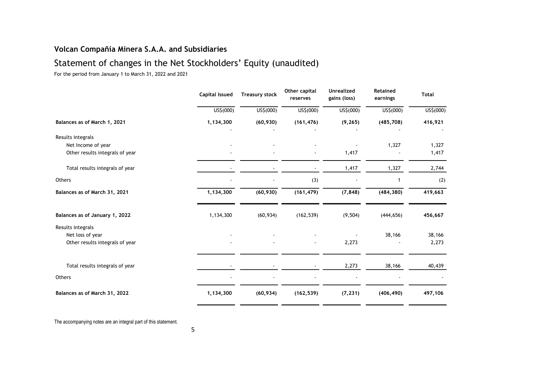# Statement of changes in the Net Stockholders' Equity (unaudited)

For the period from January 1 to March 31, 2022 and 2021

|                                 | <b>Capital Issued</b> | <b>Treasury stock</b> | Other capital<br>reserves | <b>Unrealized</b><br>gains (loss) | <b>Retained</b><br>earnings | <b>Total</b> |
|---------------------------------|-----------------------|-----------------------|---------------------------|-----------------------------------|-----------------------------|--------------|
|                                 | US\$(000)             | US\$(000)             | US\$(000)                 | US\$(000)                         | US\$(000)                   | US\$(000)    |
| Balances as of March 1, 2021    | 1,134,300             | (60, 930)             | (161, 476)                | (9, 265)                          | (485, 708)                  | 416,921      |
| Results integrals               |                       |                       |                           |                                   |                             |              |
| Net Income of year              |                       |                       |                           |                                   | 1,327                       | 1,327        |
| Other results integrals of year |                       |                       |                           | 1,417                             |                             | 1,417        |
| Total results integrals of year |                       |                       |                           | 1,417                             | 1,327                       | 2,744        |
| Others                          |                       |                       | (3)                       |                                   | 1                           | (2)          |
| Balances as of March 31, 2021   | 1,134,300             | (60, 930)             | (161, 479)                | (7, 848)                          | (484, 380)                  | 419,663      |
| Balances as of January 1, 2022  | 1,134,300             | (60, 934)             | (162, 539)                | (9, 504)                          | (444, 656)                  | 456,667      |
| Results integrals               |                       |                       |                           |                                   |                             |              |
| Net loss of year                |                       |                       |                           |                                   | 38,166                      | 38,166       |
| Other results integrals of year |                       |                       |                           | 2,273                             |                             | 2,273        |
|                                 |                       |                       |                           |                                   |                             |              |
| Total results integrals of year |                       |                       |                           | 2,273                             | 38,166                      | 40,439       |
| Others                          |                       |                       |                           |                                   |                             |              |
| Balances as of March 31, 2022   | 1,134,300             | (60, 934)             | (162, 539)                | (7, 231)                          | (406, 490)                  | 497,106      |
|                                 |                       |                       |                           |                                   |                             |              |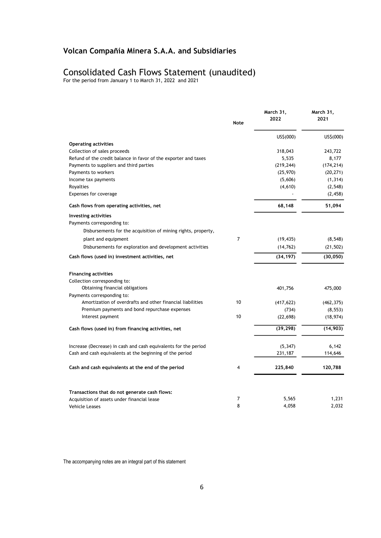# Consolidated Cash Flows Statement (unaudited)

For the period from January 1 to March 31, 2022 and 2021

|                                                                      | <b>Note</b> | March 31,<br>2022 | March 31,<br>2021 |
|----------------------------------------------------------------------|-------------|-------------------|-------------------|
|                                                                      |             | US\$(000)         | US\$(000)         |
| <b>Operating activities</b>                                          |             |                   |                   |
| Collection of sales proceeds                                         |             | 318,043           | 243,722           |
| Refund of the credit balance in favor of the exporter and taxes      |             | 5,535             | 8,177             |
| Payments to suppliers and third parties                              |             | (219, 244)        | (174, 214)        |
| Payments to workers                                                  |             | (25, 970)         | (20, 271)         |
| Income tax payments                                                  |             | (5,606)           | (1, 314)          |
| Royalties                                                            |             | (4,610)           | (2, 548)          |
| Expenses for coverage                                                |             |                   | (2, 458)          |
| Cash flows from operating activities, net                            |             | 68,148            | 51,094            |
| <b>Investing activities</b>                                          |             |                   |                   |
| Payments corresponding to:                                           |             |                   |                   |
| Disbursements for the acquisition of mining rights, property,        |             |                   |                   |
| plant and equipment                                                  | 7           | (19, 435)         | (8, 548)          |
| Disbursements for exploration and development activities             |             | (14, 762)         | (21, 502)         |
| Cash flows (used in) investment activities, net                      |             | (34, 197)         | (30, 050)         |
| <b>Financing activities</b>                                          |             |                   |                   |
| Collection corresponding to:                                         |             |                   |                   |
| Obtaining financial obligations                                      |             | 401,756           | 475,000           |
| Payments corresponding to:                                           |             |                   |                   |
| Amortization of overdrafts and other financial liabilities           | 10          | (417, 622)        | (462, 375)        |
| Premium payments and bond repurchase expenses                        |             | (734)             | (8, 553)          |
| Interest payment                                                     | 10          | (22, 698)         | (18, 974)         |
| Cash flows (used in) from financing activities, net                  |             | (39, 298)         | (14, 903)         |
| Increase (Decrease) in cash and cash equivalents for the period      |             | (5, 347)          | 6,142             |
| Cash and cash equivalents at the beginning of the period             |             | 231,187           | 114,646           |
|                                                                      |             |                   |                   |
| Cash and cash equivalents at the end of the period                   | 4           | 225,840           | 120,788           |
|                                                                      |             |                   |                   |
| Transactions that do not generate cash flows:                        | 7           | 5,565             | 1,231             |
| Acquisition of assets under financial lease<br><b>Vehicle Leases</b> | 8           | 4,058             | 2,032             |
|                                                                      |             |                   |                   |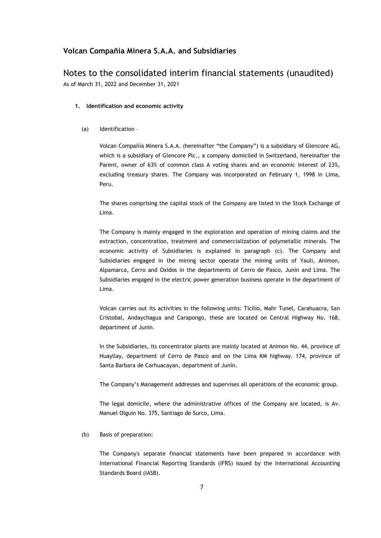# Notes to the consolidated interim financial statements (unaudited) As of March 31, 2022 and December 31, 2021

- **1. Identification and economic activity** 
	- (a) Identification –

Volcan Compañía Minera S.A.A. (hereinafter "the Company") is a subsidiary of Glencore AG, which is a subsidiary of Glencore Plc., a company domiciled in Switzerland, hereinafter the Parent, owner of 63% of common class A voting shares and an economic interest of 23%, excluding treasury shares. The Company was incorporated on February 1, 1998 in Lima, Peru.

The shares comprising the capital stock of the Company are listed in the Stock Exchange of Lima.

The Company is mainly engaged in the exploration and operation of mining claims and the extraction, concentration, treatment and commercialization of polymetallic minerals. The economic activity of Subsidiaries is explained in paragraph (c). The Company and Subsidiaries engaged in the mining sector operate the mining units of Yauli, Animon, Alpamarca, Cerro and Oxidos in the departments of Cerro de Pasco, Junín and Lima. The Subsidiaries engaged in the electric power generation business operate in the department of Lima.

Volcan carries out its activities in the following units: Ticilio, Mahr Tunel, Carahuacra, San Cristobal, Andaychagua and Carapongo, these are located on Central Highway No. 168, department of Junin.

In the Subsidiaries, its concentrator plants are mainly located at Animon No. 44, province of Huayllay, department of Cerro de Pasco and on the Lima KM highway. 174, province of Santa Barbara de Carhuacayan, department of Junín.

The Company's Management addresses and supervises all operations of the economic group.

The legal domicile, where the administrative offices of the Company are located, is Av. Manuel Olguin No. 375, Santiago de Surco, Lima.

(b) Basis of preparation:

The Company's separate financial statements have been prepared in accordance with International Financial Reporting Standards (IFRS) issued by the International Accounting Standards Board (IASB).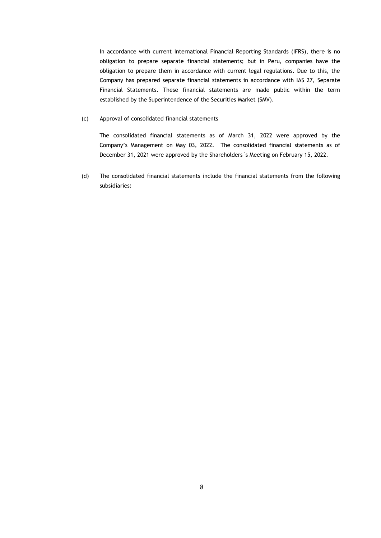In accordance with current International Financial Reporting Standards (IFRS), there is no obligation to prepare separate financial statements; but in Peru, companies have the obligation to prepare them in accordance with current legal regulations. Due to this, the Company has prepared separate financial statements in accordance with IAS 27, Separate Financial Statements. These financial statements are made public within the term established by the Superintendence of the Securities Market (SMV).

(c) Approval of consolidated financial statements –

The consolidated financial statements as of March 31, 2022 were approved by the Company's Management on May 03, 2022. The consolidated financial statements as of December 31, 2021 were approved by the Shareholders´s Meeting on February 15, 2022.

(d) The consolidated financial statements include the financial statements from the following subsidiaries: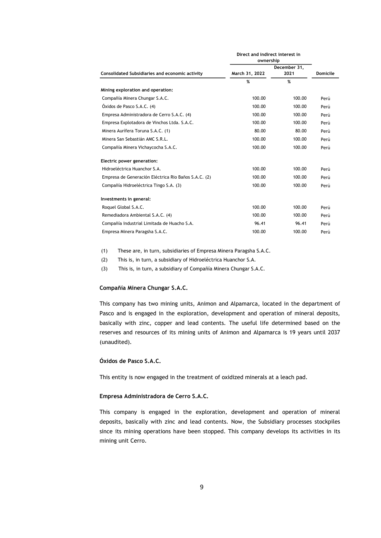|                                                      |                | Direct and indirect interest in<br>ownership |                 |  |
|------------------------------------------------------|----------------|----------------------------------------------|-----------------|--|
| Consolidated Subsidiaries and economic activity      | March 31, 2022 | December 31,<br>2021                         | <b>Domicile</b> |  |
|                                                      | %              | %                                            |                 |  |
| Mining exploration and operation:                    |                |                                              |                 |  |
| Compañía Minera Chungar S.A.C.                       | 100.00         | 100.00                                       | Perú            |  |
| Óxidos de Pasco S.A.C. (4)                           | 100.00         | 100.00                                       | Perú            |  |
| Empresa Administradora de Cerro S.A.C. (4)           | 100.00         | 100.00                                       | Perú            |  |
| Empresa Explotadora de Vinchos Ltda. S.A.C.          | 100.00         | 100.00                                       | Perú            |  |
| Minera Aurífera Toruna S.A.C. (1)                    | 80.00          | 80.00                                        | Perú            |  |
| Minera San Sebastián AMC S.R.L.                      | 100.00         | 100.00                                       | Perú            |  |
| Compañía Minera Vichaycocha S.A.C.                   | 100.00         | 100.00                                       | Perú            |  |
| Electric power generation:                           |                |                                              |                 |  |
| Hidroeléctrica Huanchor S.A.                         | 100.00         | 100.00                                       | Perú            |  |
| Empresa de Generación Eléctrica Rio Baños S.A.C. (2) | 100.00         | 100.00                                       | Perú            |  |
| Compañía Hidroeléctrica Tingo S.A. (3)               | 100.00         | 100.00                                       | Perú            |  |
| Investments in general:                              |                |                                              |                 |  |
| Roquel Global S.A.C.                                 | 100.00         | 100.00                                       | Perú            |  |
| Remediadora Ambiental S.A.C. (4)                     | 100.00         | 100.00                                       | Perú            |  |
| Compañía Industrial Limitada de Huacho S.A.          | 96.41          | 96.41                                        | Perú            |  |
| Empresa Minera Paragsha S.A.C.                       | 100.00         | 100.00                                       | Perú            |  |

(1) These are, in turn, subsidiaries of Empresa Minera Paragsha S.A.C.

(2) This is, in turn, a subsidiary of Hidroeléctrica Huanchor S.A.

(3) This is, in turn, a subsidiary of Compañía Minera Chungar S.A.C.

#### **Compañía Minera Chungar S.A.C.**

This company has two mining units, Animon and Alpamarca, located in the department of Pasco and is engaged in the exploration, development and operation of mineral deposits, basically with zinc, copper and lead contents. The useful life determined based on the reserves and resources of its mining units of Animon and Alpamarca is 19 years until 2037 (unaudited).

## **Óxidos de Pasco S.A.C.**

This entity is now engaged in the treatment of oxidized minerals at a leach pad.

### **Empresa Administradora de Cerro S.A.C.**

This company is engaged in the exploration, development and operation of mineral deposits, basically with zinc and lead contents. Now, the Subsidiary processes stockpiles since its mining operations have been stopped. This company develops its activities in its mining unit Cerro.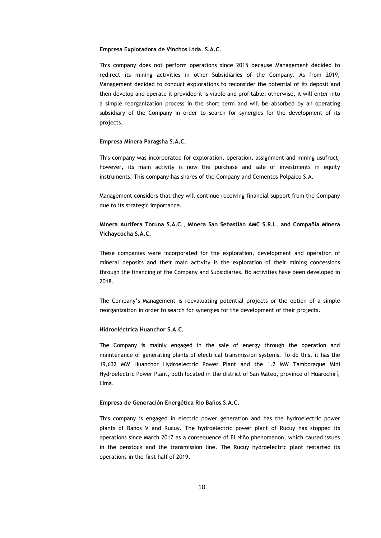#### **Empresa Explotadora de Vinchos Ltda. S.A.C.**

This company does not perform operations since 2015 because Management decided to redirect its mining activities in other Subsidiaries of the Company. As from 2019, Management decided to conduct explorations to reconsider the potential of its deposit and then develop and operate it provided it is viable and profitable; otherwise, it will enter into a simple reorganization process in the short term and will be absorbed by an operating subsidiary of the Company in order to search for synergies for the development of its projects.

#### **Empresa Minera Paragsha S.A.C.**

This company was incorporated for exploration, operation, assignment and mining usufruct; however, its main activity is now the purchase and sale of investments in equity instruments. This company has shares of the Company and Cementos Polpaico S.A.

Management considers that they will continue receiving financial support from the Company due to its strategic importance.

# **Minera Aurífera Toruna S.A.C., Minera San Sebastián AMC S.R.L. and Compañía Minera Vichaycocha S.A.C.**

These companies were incorporated for the exploration, development and operation of mineral deposits and their main activity is the exploration of their mining concessions through the financing of the Company and Subsidiaries. No activities have been developed in 2018.

The Company's Management is reevaluating potential projects or the option of a simple reorganization in order to search for synergies for the development of their projects.

#### **Hidroeléctrica Huanchor S.A.C.**

The Company is mainly engaged in the sale of energy through the operation and maintenance of generating plants of electrical transmission systems. To do this, it has the 19,632 MW Huanchor Hydroelectric Power Plant and the 1.2 MW Tamboraque Mini Hydroelectric Power Plant, both located in the district of San Mateo, province of Huarochirí, Lima.

#### **Empresa de Generación Energética Rio Baños S.A.C.**

This company is engaged in electric power generation and has the hydroelectric power plants of Baños V and Rucuy. The hydroelectric power plant of Rucuy has stopped its operations since March 2017 as a consequence of El Niño phenomenon, which caused issues in the penstock and the transmission line. The Rucuy hydroelectric plant restarted its operations in the first half of 2019.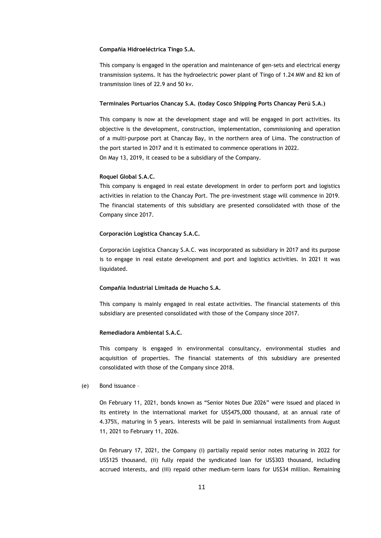#### **Compañía Hidroeléctrica Tingo S.A.**

This company is engaged in the operation and maintenance of gen-sets and electrical energy transmission systems. It has the hydroelectric power plant of Tingo of 1.24 MW and 82 km of transmission lines of 22.9 and 50 kv.

#### **Terminales Portuarios Chancay S.A. (today Cosco Shipping Ports Chancay Perú S.A.)**

This company is now at the development stage and will be engaged in port activities. Its objective is the development, construction, implementation, commissioning and operation of a multi-purpose port at Chancay Bay, in the northern area of Lima. The construction of the port started in 2017 and it is estimated to commence operations in 2022. On May 13, 2019, it ceased to be a subsidiary of the Company.

#### **Roquel Global S.A.C.**

This company is engaged in real estate development in order to perform port and logistics activities in relation to the Chancay Port. The pre-investment stage will commence in 2019. The financial statements of this subsidiary are presented consolidated with those of the Company since 2017.

#### **Corporación Logística Chancay S.A.C.**

Corporación Logística Chancay S.A.C. was incorporated as subsidiary in 2017 and its purpose is to engage in real estate development and port and logistics activities. In 2021 it was liquidated.

#### **Compañía Industrial Limitada de Huacho S.A.**

This company is mainly engaged in real estate activities. The financial statements of this subsidiary are presented consolidated with those of the Company since 2017.

#### **Remediadora Ambiental S.A.C.**

This company is engaged in environmental consultancy, environmental studies and acquisition of properties. The financial statements of this subsidiary are presented consolidated with those of the Company since 2018.

#### (e) Bond issuance –

On February 11, 2021, bonds known as "Senior Notes Due 2026" were issued and placed in its entirety in the international market for US\$475,000 thousand, at an annual rate of 4.375%, maturing in 5 years. Interests will be paid in semiannual installments from August 11, 2021 to February 11, 2026.

On February 17, 2021, the Company (i) partially repaid senior notes maturing in 2022 for US\$125 thousand, (ii) fully repaid the syndicated loan for US\$303 thousand, including accrued interests, and (iii) repaid other medium-term loans for US\$34 million. Remaining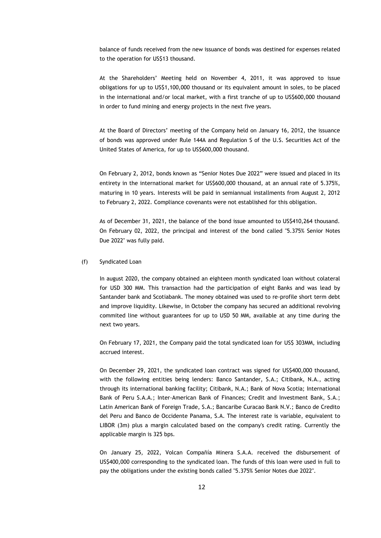balance of funds received from the new issuance of bonds was destined for expenses related to the operation for US\$13 thousand.

At the Shareholders' Meeting held on November 4, 2011, it was approved to issue obligations for up to US\$1,100,000 thousand or its equivalent amount in soles, to be placed in the international and/or local market, with a first tranche of up to US\$600,000 thousand in order to fund mining and energy projects in the next five years.

At the Board of Directors' meeting of the Company held on January 16, 2012, the issuance of bonds was approved under Rule 144A and Regulation S of the U.S. Securities Act of the United States of America, for up to US\$600,000 thousand.

On February 2, 2012, bonds known as "Senior Notes Due 2022" were issued and placed in its entirety in the international market for US\$600,000 thousand, at an annual rate of 5.375%, maturing in 10 years. Interests will be paid in semiannual installments from August 2, 2012 to February 2, 2022. Compliance covenants were not established for this obligation.

As of December 31, 2021, the balance of the bond issue amounted to US\$410,264 thousand. On February 02, 2022, the principal and interest of the bond called "5.375% Senior Notes Due 2022" was fully paid.

#### (f) Syndicated Loan

In august 2020, the company obtained an eighteen month syndicated loan without colateral for USD 300 MM. This transaction had the participation of eight Banks and was lead by Santander bank and Scotiabank. The money obtained was used to re-profile short term debt and improve liquidity. Likewise, in October the company has secured an additional revolving commited line without guarantees for up to USD 50 MM, available at any time during the next two years.

On February 17, 2021, the Company paid the total syndicated loan for US\$ 303MM, including accrued interest.

On December 29, 2021, the syndicated loan contract was signed for US\$400,000 thousand, with the following entities being lenders: Banco Santander, S.A.; Citibank, N.A., acting through its international banking facility; Citibank, N.A.; Bank of Nova Scotia; International Bank of Peru S.A.A.; Inter-American Bank of Finances; Credit and Investment Bank, S.A.; Latin American Bank of Foreign Trade, S.A.; Bancaribe Curacao Bank N.V.; Banco de Credito del Peru and Banco de Occidente Panama, S.A. The interest rate is variable, equivalent to LIBOR (3m) plus a margin calculated based on the company's credit rating. Currently the applicable margin is 325 bps.

On January 25, 2022, Volcan Compañía Minera S.A.A. received the disbursement of US\$400,000 corresponding to the syndicated loan. The funds of this loan were used in full to pay the obligations under the existing bonds called "5.375% Senior Notes due 2022".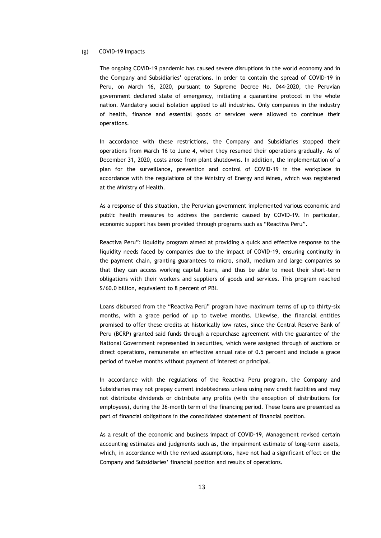#### (g) COVID-19 Impacts

The ongoing COVID-19 pandemic has caused severe disruptions in the world economy and in the Company and Subsidiaries' operations. In order to contain the spread of COVID-19 in Peru, on March 16, 2020, pursuant to Supreme Decree No. 044-2020, the Peruvian government declared state of emergency, initiating a quarantine protocol in the whole nation. Mandatory social isolation applied to all industries. Only companies in the industry of health, finance and essential goods or services were allowed to continue their operations.

In accordance with these restrictions, the Company and Subsidiaries stopped their operations from March 16 to June 4, when they resumed their operations gradually. As of December 31, 2020, costs arose from plant shutdowns. In addition, the implementation of a plan for the surveillance, prevention and control of COVID-19 in the workplace in accordance with the regulations of the Ministry of Energy and Mines, which was registered at the Ministry of Health.

As a response of this situation, the Peruvian government implemented various economic and public health measures to address the pandemic caused by COVID-19. In particular, economic support has been provided through programs such as "Reactiva Peru".

Reactiva Peru": liquidity program aimed at providing a quick and effective response to the liquidity needs faced by companies due to the impact of COVID-19, ensuring continuity in the payment chain, granting guarantees to micro, small, medium and large companies so that they can access working capital loans, and thus be able to meet their short-term obligations with their workers and suppliers of goods and services. This program reached S/60.0 billion, equivalent to 8 percent of PBI.

Loans disbursed from the "Reactiva Perú" program have maximum terms of up to thirty-six months, with a grace period of up to twelve months. Likewise, the financial entities promised to offer these credits at historically low rates, since the Central Reserve Bank of Peru (BCRP) granted said funds through a repurchase agreement with the guarantee of the National Government represented in securities, which were assigned through of auctions or direct operations, remunerate an effective annual rate of 0.5 percent and include a grace period of twelve months without payment of interest or principal.

In accordance with the regulations of the Reactiva Peru program, the Company and Subsidiaries may not prepay current indebtedness unless using new credit facilities and may not distribute dividends or distribute any profits (with the exception of distributions for employees), during the 36-month term of the financing period. These loans are presented as part of financial obligations in the consolidated statement of financial position.

As a result of the economic and business impact of COVID-19, Management revised certain accounting estimates and judgments such as, the impairment estimate of long-term assets, which, in accordance with the revised assumptions, have not had a significant effect on the Company and Subsidiaries' financial position and results of operations.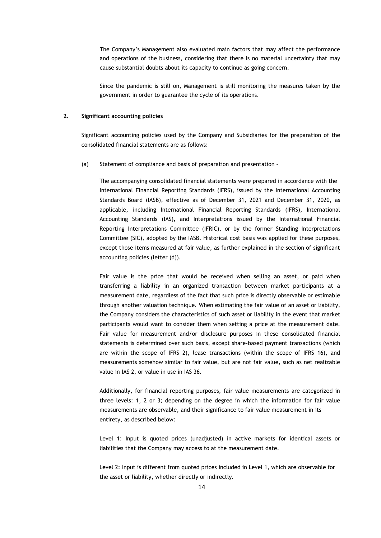The Company's Management also evaluated main factors that may affect the performance and operations of the business, considering that there is no material uncertainty that may cause substantial doubts about its capacity to continue as going concern.

Since the pandemic is still on, Management is still monitoring the measures taken by the government in order to guarantee the cycle of its operations.

#### **2. Significant accounting policies**

Significant accounting policies used by the Company and Subsidiaries for the preparation of the consolidated financial statements are as follows:

(a) Statement of compliance and basis of preparation and presentation –

The accompanying consolidated financial statements were prepared in accordance with the International Financial Reporting Standards (IFRS), issued by the International Accounting Standards Board (IASB), effective as of December 31, 2021 and December 31, 2020, as applicable, including International Financial Reporting Standards (IFRS), International Accounting Standards (IAS), and Interpretations issued by the International Financial Reporting Interpretations Committee (IFRIC), or by the former Standing Interpretations Committee (SIC), adopted by the IASB. Historical cost basis was applied for these purposes, except those items measured at fair value, as further explained in the section of significant accounting policies (letter (d)).

Fair value is the price that would be received when selling an asset, or paid when transferring a liability in an organized transaction between market participants at a measurement date, regardless of the fact that such price is directly observable or estimable through another valuation technique. When estimating the fair value of an asset or liability, the Company considers the characteristics of such asset or liability in the event that market participants would want to consider them when setting a price at the measurement date. Fair value for measurement and/or disclosure purposes in these consolidated financial statements is determined over such basis, except share-based payment transactions (which are within the scope of IFRS 2), lease transactions (within the scope of IFRS 16), and measurements somehow similar to fair value, but are not fair value, such as net realizable value in IAS 2, or value in use in IAS 36.

Additionally, for financial reporting purposes, fair value measurements are categorized in three levels: 1, 2 or 3; depending on the degree in which the information for fair value measurements are observable, and their significance to fair value measurement in its entirety, as described below:

Level 1: Input is quoted prices (unadjusted) in active markets for identical assets or liabilities that the Company may access to at the measurement date.

Level 2: Input is different from quoted prices included in Level 1, which are observable for the asset or liability, whether directly or indirectly.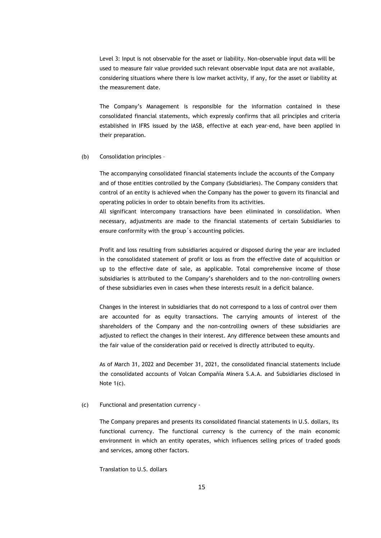Level 3: Input is not observable for the asset or liability. Non-observable input data will be used to measure fair value provided such relevant observable input data are not available, considering situations where there is low market activity, if any, for the asset or liability at the measurement date.

The Company's Management is responsible for the information contained in these consolidated financial statements, which expressly confirms that all principles and criteria established in IFRS issued by the IASB, effective at each year-end, have been applied in their preparation.

#### (b) Consolidation principles –

The accompanying consolidated financial statements include the accounts of the Company and of those entities controlled by the Company (Subsidiaries). The Company considers that control of an entity is achieved when the Company has the power to govern its financial and operating policies in order to obtain benefits from its activities.

All significant intercompany transactions have been eliminated in consolidation. When necessary, adjustments are made to the financial statements of certain Subsidiaries to ensure conformity with the group´s accounting policies.

Profit and loss resulting from subsidiaries acquired or disposed during the year are included in the consolidated statement of profit or loss as from the effective date of acquisition or up to the effective date of sale, as applicable. Total comprehensive income of those subsidiaries is attributed to the Company's shareholders and to the non-controlling owners of these subsidiaries even in cases when these interests result in a deficit balance.

Changes in the interest in subsidiaries that do not correspond to a loss of control over them are accounted for as equity transactions. The carrying amounts of interest of the shareholders of the Company and the non-controlling owners of these subsidiaries are adjusted to reflect the changes in their interest. Any difference between these amounts and the fair value of the consideration paid or received is directly attributed to equity.

As of March 31, 2022 and December 31, 2021, the consolidated financial statements include the consolidated accounts of Volcan Compañía Minera S.A.A. and Subsidiaries disclosed in Note 1(c).

#### (c) Functional and presentation currency -

The Company prepares and presents its consolidated financial statements in U.S. dollars, its functional currency. The functional currency is the currency of the main economic environment in which an entity operates, which influences selling prices of traded goods and services, among other factors.

Translation to U.S. dollars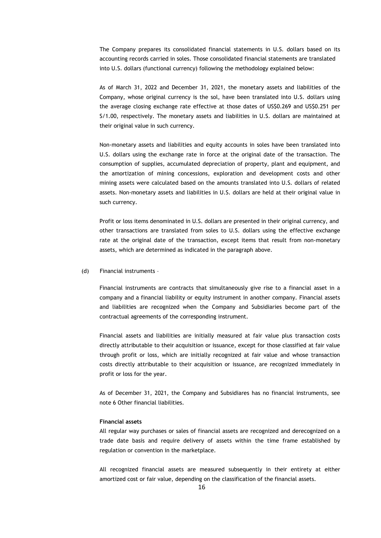The Company prepares its consolidated financial statements in U.S. dollars based on its accounting records carried in soles. Those consolidated financial statements are translated into U.S. dollars (functional currency) following the methodology explained below:

As of March 31, 2022 and December 31, 2021, the monetary assets and liabilities of the Company, whose original currency is the sol, have been translated into U.S. dollars using the average closing exchange rate effective at those dates of US\$0.269 and US\$0.251 per S/1.00, respectively. The monetary assets and liabilities in U.S. dollars are maintained at their original value in such currency.

Non-monetary assets and liabilities and equity accounts in soles have been translated into U.S. dollars using the exchange rate in force at the original date of the transaction. The consumption of supplies, accumulated depreciation of property, plant and equipment, and the amortization of mining concessions, exploration and development costs and other mining assets were calculated based on the amounts translated into U.S. dollars of related assets. Non-monetary assets and liabilities in U.S. dollars are held at their original value in such currency.

Profit or loss items denominated in U.S. dollars are presented in their original currency, and other transactions are translated from soles to U.S. dollars using the effective exchange rate at the original date of the transaction, except items that result from non-monetary assets, which are determined as indicated in the paragraph above.

#### (d) Financial instruments –

Financial instruments are contracts that simultaneously give rise to a financial asset in a company and a financial liability or equity instrument in another company. Financial assets and liabilities are recognized when the Company and Subsidiaries become part of the contractual agreements of the corresponding instrument.

Financial assets and liabilities are initially measured at fair value plus transaction costs directly attributable to their acquisition or issuance, except for those classified at fair value through profit or loss, which are initially recognized at fair value and whose transaction costs directly attributable to their acquisition or issuance, are recognized immediately in profit or loss for the year.

As of December 31, 2021, the Company and Subsidiares has no financial instruments, see note 6 Other financial liabilities.

#### **Financial assets**

All regular way purchases or sales of financial assets are recognized and derecognized on a trade date basis and require delivery of assets within the time frame established by regulation or convention in the marketplace.

All recognized financial assets are measured subsequently in their entirety at either amortized cost or fair value, depending on the classification of the financial assets.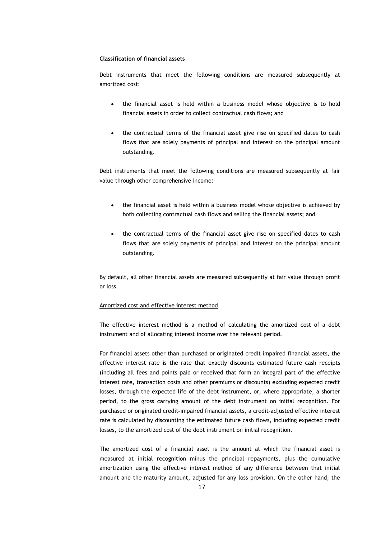#### **Classification of financial assets**

Debt instruments that meet the following conditions are measured subsequently at amortized cost:

- the financial asset is held within a business model whose objective is to hold financial assets in order to collect contractual cash flows; and
- the contractual terms of the financial asset give rise on specified dates to cash flows that are solely payments of principal and interest on the principal amount outstanding.

Debt instruments that meet the following conditions are measured subsequently at fair value through other comprehensive income:

- the financial asset is held within a business model whose objective is achieved by both collecting contractual cash flows and selling the financial assets; and
- the contractual terms of the financial asset give rise on specified dates to cash flows that are solely payments of principal and interest on the principal amount outstanding.

By default, all other financial assets are measured subsequently at fair value through profit or loss.

#### Amortized cost and effective interest method

The effective interest method is a method of calculating the amortized cost of a debt instrument and of allocating interest income over the relevant period.

For financial assets other than purchased or originated credit-impaired financial assets, the effective interest rate is the rate that exactly discounts estimated future cash receipts (including all fees and points paid or received that form an integral part of the effective interest rate, transaction costs and other premiums or discounts) excluding expected credit losses, through the expected life of the debt instrument, or, where appropriate, a shorter period, to the gross carrying amount of the debt instrument on initial recognition. For purchased or originated credit‑impaired financial assets, a credit‑adjusted effective interest rate is calculated by discounting the estimated future cash flows, including expected credit losses, to the amortized cost of the debt instrument on initial recognition.

The amortized cost of a financial asset is the amount at which the financial asset is measured at initial recognition minus the principal repayments, plus the cumulative amortization using the effective interest method of any difference between that initial amount and the maturity amount, adjusted for any loss provision. On the other hand, the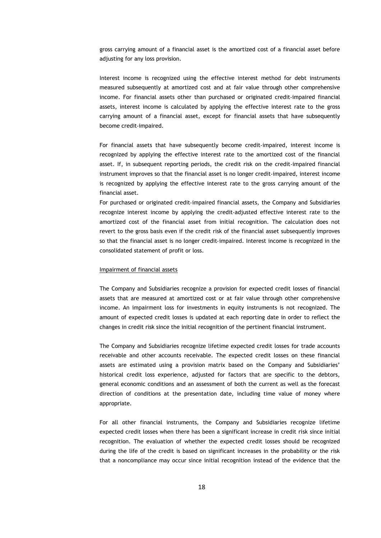gross carrying amount of a financial asset is the amortized cost of a financial asset before adjusting for any loss provision.

Interest income is recognized using the effective interest method for debt instruments measured subsequently at amortized cost and at fair value through other comprehensive income. For financial assets other than purchased or originated credit‑impaired financial assets, interest income is calculated by applying the effective interest rate to the gross carrying amount of a financial asset, except for financial assets that have subsequently become credit‑impaired.

For financial assets that have subsequently become credit-impaired, interest income is recognized by applying the effective interest rate to the amortized cost of the financial asset. If, in subsequent reporting periods, the credit risk on the credit-impaired financial instrument improves so that the financial asset is no longer credit-impaired, interest income is recognized by applying the effective interest rate to the gross carrying amount of the financial asset.

For purchased or originated credit‑impaired financial assets, the Company and Subsidiaries recognize interest income by applying the credit‑adjusted effective interest rate to the amortized cost of the financial asset from initial recognition. The calculation does not revert to the gross basis even if the credit risk of the financial asset subsequently improves so that the financial asset is no longer credit-impaired. Interest income is recognized in the consolidated statement of profit or loss.

#### Impairment of financial assets

The Company and Subsidiaries recognize a provision for expected credit losses of financial assets that are measured at amortized cost or at fair value through other comprehensive income. An impairment loss for investments in equity instruments is not recognized. The amount of expected credit losses is updated at each reporting date in order to reflect the changes in credit risk since the initial recognition of the pertinent financial instrument.

The Company and Subsidiaries recognize lifetime expected credit losses for trade accounts receivable and other accounts receivable. The expected credit losses on these financial assets are estimated using a provision matrix based on the Company and Subsidiaries' historical credit loss experience, adjusted for factors that are specific to the debtors, general economic conditions and an assessment of both the current as well as the forecast direction of conditions at the presentation date, including time value of money where appropriate.

For all other financial instruments, the Company and Subsidiaries recognize lifetime expected credit losses when there has been a significant increase in credit risk since initial recognition. The evaluation of whether the expected credit losses should be recognized during the life of the credit is based on significant increases in the probability or the risk that a noncompliance may occur since initial recognition instead of the evidence that the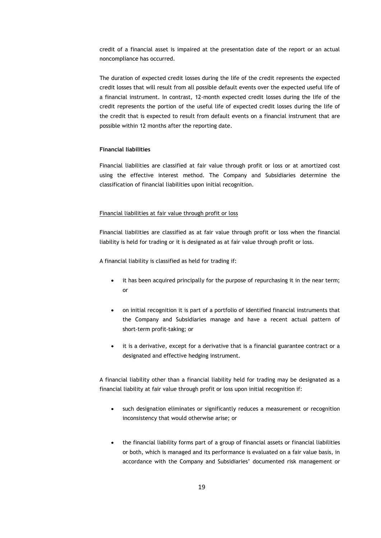credit of a financial asset is impaired at the presentation date of the report or an actual noncompliance has occurred.

The duration of expected credit losses during the life of the credit represents the expected credit losses that will result from all possible default events over the expected useful life of a financial instrument. In contrast, 12-month expected credit losses during the life of the credit represents the portion of the useful life of expected credit losses during the life of the credit that is expected to result from default events on a financial instrument that are possible within 12 months after the reporting date.

### **Financial liabilities**

Financial liabilities are classified at fair value through profit or loss or at amortized cost using the effective interest method. The Company and Subsidiaries determine the classification of financial liabilities upon initial recognition.

#### Financial liabilities at fair value through profit or loss

Financial liabilities are classified as at fair value through profit or loss when the financial liability is held for trading or it is designated as at fair value through profit or loss.

A financial liability is classified as held for trading if:

- it has been acquired principally for the purpose of repurchasing it in the near term; or
- on initial recognition it is part of a portfolio of identified financial instruments that the Company and Subsidiaries manage and have a recent actual pattern of short-term profit-taking; or
- it is a derivative, except for a derivative that is a financial guarantee contract or a designated and effective hedging instrument.

A financial liability other than a financial liability held for trading may be designated as a financial liability at fair value through profit or loss upon initial recognition if:

- such designation eliminates or significantly reduces a measurement or recognition inconsistency that would otherwise arise; or
- the financial liability forms part of a group of financial assets or financial liabilities or both, which is managed and its performance is evaluated on a fair value basis, in accordance with the Company and Subsidiaries' documented risk management or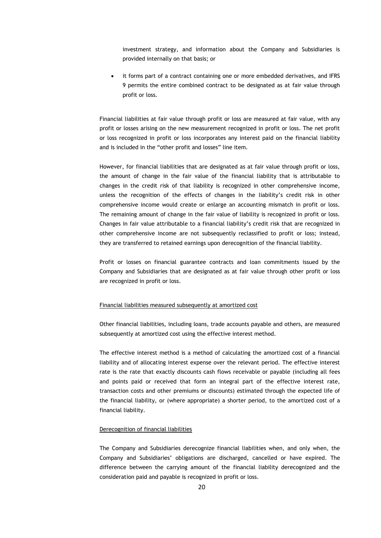investment strategy, and information about the Company and Subsidiaries is provided internally on that basis; or

• it forms part of a contract containing one or more embedded derivatives, and IFRS 9 permits the entire combined contract to be designated as at fair value through profit or loss.

Financial liabilities at fair value through profit or loss are measured at fair value, with any profit or losses arising on the new measurement recognized in profit or loss. The net profit or loss recognized in profit or loss incorporates any interest paid on the financial liability and is included in the "other profit and losses" line item.

However, for financial liabilities that are designated as at fair value through profit or loss, the amount of change in the fair value of the financial liability that is attributable to changes in the credit risk of that liability is recognized in other comprehensive income, unless the recognition of the effects of changes in the liability's credit risk in other comprehensive income would create or enlarge an accounting mismatch in profit or loss. The remaining amount of change in the fair value of liability is recognized in profit or loss. Changes in fair value attributable to a financial liability's credit risk that are recognized in other comprehensive income are not subsequently reclassified to profit or loss; instead, they are transferred to retained earnings upon derecognition of the financial liability.

Profit or losses on financial guarantee contracts and loan commitments issued by the Company and Subsidiaries that are designated as at fair value through other profit or loss are recognized in profit or loss.

#### Financial liabilities measured subsequently at amortized cost

Other financial liabilities, including loans, trade accounts payable and others, are measured subsequently at amortized cost using the effective interest method.

The effective interest method is a method of calculating the amortized cost of a financial liability and of allocating interest expense over the relevant period. The effective interest rate is the rate that exactly discounts cash flows receivable or payable (including all fees and points paid or received that form an integral part of the effective interest rate, transaction costs and other premiums or discounts) estimated through the expected life of the financial liability, or (where appropriate) a shorter period, to the amortized cost of a financial liability.

#### Derecognition of financial liabilities

The Company and Subsidiaries derecognize financial liabilities when, and only when, the Company and Subsidiaries' obligations are discharged, cancelled or have expired. The difference between the carrying amount of the financial liability derecognized and the consideration paid and payable is recognized in profit or loss.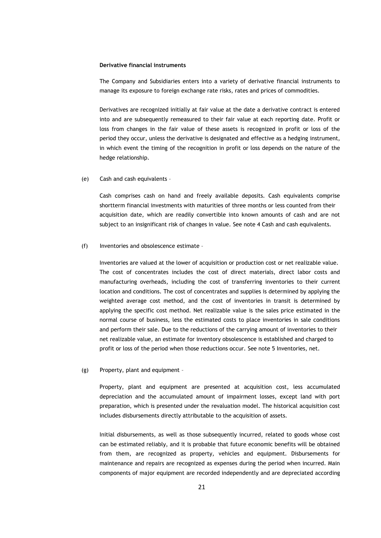#### **Derivative financial instruments**

The Company and Subsidiaries enters into a variety of derivative financial instruments to manage its exposure to foreign exchange rate risks, rates and prices of commodities.

Derivatives are recognized initially at fair value at the date a derivative contract is entered into and are subsequently remeasured to their fair value at each reporting date. Profit or loss from changes in the fair value of these assets is recognized in profit or loss of the period they occur, unless the derivative is designated and effective as a hedging instrument, in which event the timing of the recognition in profit or loss depends on the nature of the hedge relationship.

(e) Cash and cash equivalents –

Cash comprises cash on hand and freely available deposits. Cash equivalents comprise shortterm financial investments with maturities of three months or less counted from their acquisition date, which are readily convertible into known amounts of cash and are not subject to an insignificant risk of changes in value. See note 4 Cash and cash equivalents.

(f) Inventories and obsolescence estimate –

Inventories are valued at the lower of acquisition or production cost or net realizable value. The cost of concentrates includes the cost of direct materials, direct labor costs and manufacturing overheads, including the cost of transferring inventories to their current location and conditions. The cost of concentrates and supplies is determined by applying the weighted average cost method, and the cost of inventories in transit is determined by applying the specific cost method. Net realizable value is the sales price estimated in the normal course of business, less the estimated costs to place inventories in sale conditions and perform their sale. Due to the reductions of the carrying amount of inventories to their net realizable value, an estimate for inventory obsolescence is established and charged to profit or loss of the period when those reductions occur. See note 5 Inventories, net.

(g) Property, plant and equipment –

Property, plant and equipment are presented at acquisition cost, less accumulated depreciation and the accumulated amount of impairment losses, except land with port preparation, which is presented under the revaluation model. The historical acquisition cost includes disbursements directly attributable to the acquisition of assets.

Initial disbursements, as well as those subsequently incurred, related to goods whose cost can be estimated reliably, and it is probable that future economic benefits will be obtained from them, are recognized as property, vehicles and equipment. Disbursements for maintenance and repairs are recognized as expenses during the period when incurred. Main components of major equipment are recorded independently and are depreciated according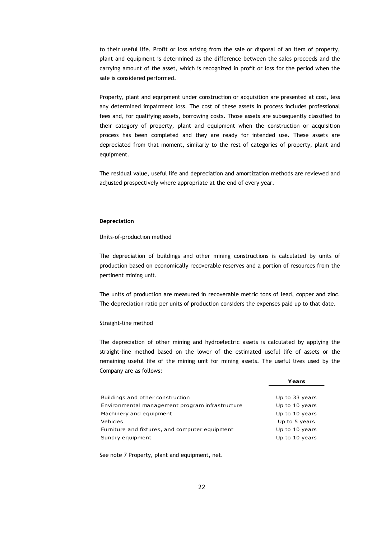to their useful life. Profit or loss arising from the sale or disposal of an item of property, plant and equipment is determined as the difference between the sales proceeds and the carrying amount of the asset, which is recognized in profit or loss for the period when the sale is considered performed.

Property, plant and equipment under construction or acquisition are presented at cost, less any determined impairment loss. The cost of these assets in process includes professional fees and, for qualifying assets, borrowing costs. Those assets are subsequently classified to their category of property, plant and equipment when the construction or acquisition process has been completed and they are ready for intended use. These assets are depreciated from that moment, similarly to the rest of categories of property, plant and equipment.

The residual value, useful life and depreciation and amortization methods are reviewed and adjusted prospectively where appropriate at the end of every year.

### **Depreciation**

#### Units-of-production method

The depreciation of buildings and other mining constructions is calculated by units of production based on economically recoverable reserves and a portion of resources from the pertinent mining unit.

The units of production are measured in recoverable metric tons of lead, copper and zinc. The depreciation ratio per units of production considers the expenses paid up to that date.

#### Straight-line method

The depreciation of other mining and hydroelectric assets is calculated by applying the straight-line method based on the lower of the estimated useful life of assets or the remaining useful life of the mining unit for mining assets. The useful lives used by the Company are as follows:

**Years**

|                                                 | .              |
|-------------------------------------------------|----------------|
|                                                 |                |
| Buildings and other construction                | Up to 33 years |
| Environmental management program infrastructure | Up to 10 years |
| Machinery and equipment                         | Up to 10 years |
| Vehicles                                        | Up to 5 years  |
| Furniture and fixtures, and computer equipment  | Up to 10 years |
| Sundry equipment                                | Up to 10 years |
|                                                 |                |

See note 7 Property, plant and equipment, net.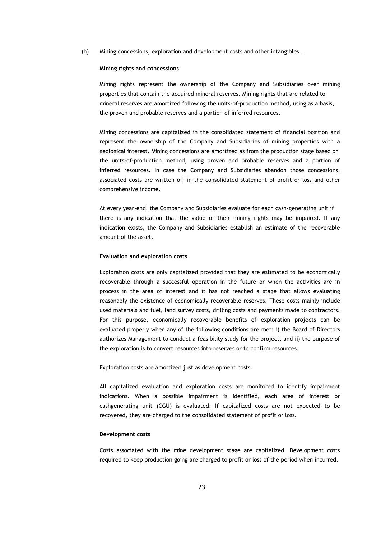(h) Mining concessions, exploration and development costs and other intangibles –

#### **Mining rights and concessions**

Mining rights represent the ownership of the Company and Subsidiaries over mining properties that contain the acquired mineral reserves. Mining rights that are related to mineral reserves are amortized following the units-of-production method, using as a basis, the proven and probable reserves and a portion of inferred resources.

Mining concessions are capitalized in the consolidated statement of financial position and represent the ownership of the Company and Subsidiaries of mining properties with a geological interest. Mining concessions are amortized as from the production stage based on the units-of-production method, using proven and probable reserves and a portion of inferred resources. In case the Company and Subsidiaries abandon those concessions, associated costs are written off in the consolidated statement of profit or loss and other comprehensive income.

At every year-end, the Company and Subsidiaries evaluate for each cash-generating unit if there is any indication that the value of their mining rights may be impaired. If any indication exists, the Company and Subsidiaries establish an estimate of the recoverable amount of the asset.

#### **Evaluation and exploration costs**

Exploration costs are only capitalized provided that they are estimated to be economically recoverable through a successful operation in the future or when the activities are in process in the area of interest and it has not reached a stage that allows evaluating reasonably the existence of economically recoverable reserves. These costs mainly include used materials and fuel, land survey costs, drilling costs and payments made to contractors. For this purpose, economically recoverable benefits of exploration projects can be evaluated properly when any of the following conditions are met: i) the Board of Directors authorizes Management to conduct a feasibility study for the project, and ii) the purpose of the exploration is to convert resources into reserves or to confirm resources.

Exploration costs are amortized just as development costs.

All capitalized evaluation and exploration costs are monitored to identify impairment indications. When a possible impairment is identified, each area of interest or cashgenerating unit (CGU) is evaluated. If capitalized costs are not expected to be recovered, they are charged to the consolidated statement of profit or loss.

#### **Development costs**

Costs associated with the mine development stage are capitalized. Development costs required to keep production going are charged to profit or loss of the period when incurred.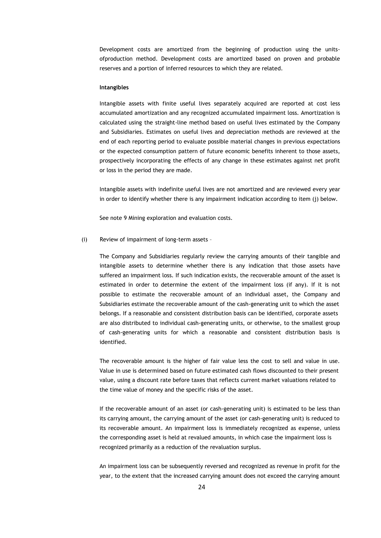Development costs are amortized from the beginning of production using the unitsofproduction method. Development costs are amortized based on proven and probable reserves and a portion of inferred resources to which they are related.

#### **Intangibles**

Intangible assets with finite useful lives separately acquired are reported at cost less accumulated amortization and any recognized accumulated impairment loss. Amortization is calculated using the straight-line method based on useful lives estimated by the Company and Subsidiaries. Estimates on useful lives and depreciation methods are reviewed at the end of each reporting period to evaluate possible material changes in previous expectations or the expected consumption pattern of future economic benefits inherent to those assets, prospectively incorporating the effects of any change in these estimates against net profit or loss in the period they are made.

Intangible assets with indefinite useful lives are not amortized and are reviewed every year in order to identify whether there is any impairment indication according to item (j) below.

See note 9 Mining exploration and evaluation costs.

#### (i) Review of impairment of long-term assets –

The Company and Subsidiaries regularly review the carrying amounts of their tangible and intangible assets to determine whether there is any indication that those assets have suffered an impairment loss. If such indication exists, the recoverable amount of the asset is estimated in order to determine the extent of the impairment loss (if any). If it is not possible to estimate the recoverable amount of an individual asset, the Company and Subsidiaries estimate the recoverable amount of the cash-generating unit to which the asset belongs. If a reasonable and consistent distribution basis can be identified, corporate assets are also distributed to individual cash-generating units, or otherwise, to the smallest group of cash-generating units for which a reasonable and consistent distribution basis is identified.

The recoverable amount is the higher of fair value less the cost to sell and value in use. Value in use is determined based on future estimated cash flows discounted to their present value, using a discount rate before taxes that reflects current market valuations related to the time value of money and the specific risks of the asset.

If the recoverable amount of an asset (or cash-generating unit) is estimated to be less than its carrying amount, the carrying amount of the asset (or cash-generating unit) is reduced to its recoverable amount. An impairment loss is immediately recognized as expense, unless the corresponding asset is held at revalued amounts, in which case the impairment loss is recognized primarily as a reduction of the revaluation surplus.

An impairment loss can be subsequently reversed and recognized as revenue in profit for the year, to the extent that the increased carrying amount does not exceed the carrying amount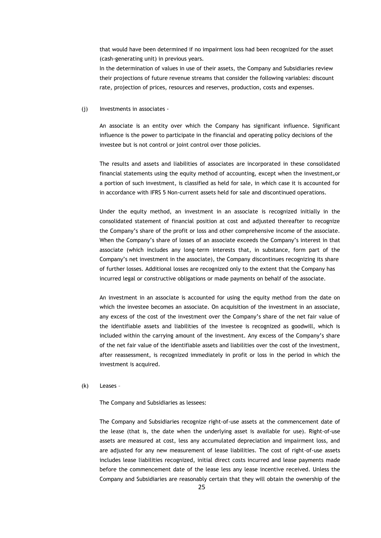that would have been determined if no impairment loss had been recognized for the asset (cash-generating unit) in previous years.

In the determination of values in use of their assets, the Company and Subsidiaries review their projections of future revenue streams that consider the following variables: discount rate, projection of prices, resources and reserves, production, costs and expenses.

(j) Investments in associates -

An associate is an entity over which the Company has significant influence. Significant influence is the power to participate in the financial and operating policy decisions of the investee but is not control or joint control over those policies.

The results and assets and liabilities of associates are incorporated in these consolidated financial statements using the equity method of accounting, except when the investment,or a portion of such investment, is classified as held for sale, in which case it is accounted for in accordance with IFRS 5 Non-current assets held for sale and discontinued operations.

Under the equity method, an investment in an associate is recognized initially in the consolidated statement of financial position at cost and adjusted thereafter to recognize the Company's share of the profit or loss and other comprehensive income of the associate. When the Company's share of losses of an associate exceeds the Company's interest in that associate (which includes any long-term interests that, in substance, form part of the Company's net investment in the associate), the Company discontinues recognizing its share of further losses. Additional losses are recognized only to the extent that the Company has incurred legal or constructive obligations or made payments on behalf of the associate.

An investment in an associate is accounted for using the equity method from the date on which the investee becomes an associate. On acquisition of the investment in an associate, any excess of the cost of the investment over the Company's share of the net fair value of the identifiable assets and liabilities of the investee is recognized as goodwill, which is included within the carrying amount of the investment. Any excess of the Company's share of the net fair value of the identifiable assets and liabilities over the cost of the investment, after reassessment, is recognized immediately in profit or loss in the period in which the investment is acquired.

#### (k) Leases –

The Company and Subsidiaries as lessees:

The Company and Subsidiaries recognize right-of-use assets at the commencement date of the lease (that is, the date when the underlying asset is available for use). Right-of-use assets are measured at cost, less any accumulated depreciation and impairment loss, and are adjusted for any new measurement of lease liabilities. The cost of right-of-use assets includes lease liabilities recognized, initial direct costs incurred and lease payments made before the commencement date of the lease less any lease incentive received. Unless the Company and Subsidiaries are reasonably certain that they will obtain the ownership of the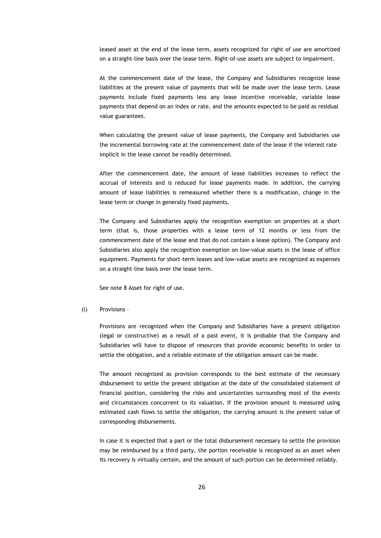leased asset at the end of the lease term, assets recognized for right of use are amortized on a straight-line basis over the lease term. Right-of-use assets are subject to impairment.

At the commencement date of the lease, the Company and Subsidiaries recognize lease liabilities at the present value of payments that will be made over the lease term. Lease payments include fixed payments less any lease incentive receivable, variable lease payments that depend on an index or rate, and the amounts expected to be paid as residual value guarantees.

When calculating the present value of lease payments, the Company and Subsidiaries use the incremental borrowing rate at the commencement date of the lease if the interest rate implicit in the lease cannot be readily determined.

After the commencement date, the amount of lease liabilities increases to reflect the accrual of interests and is reduced for lease payments made. In addition, the carrying amount of lease liabilities is remeasured whether there is a modification, change in the lease term or change in generally fixed payments.

The Company and Subsidiaries apply the recognition exemption on properties at a short term (that is, those properties with a lease term of 12 months or less from the commencement date of the lease and that do not contain a lease option). The Company and Subsidiaries also apply the recognition exemption on low-value assets in the lease of office equipment. Payments for short-term leases and low-value assets are recognized as expenses on a straight-line basis over the lease term.

See note 8 Asset for right of use.

#### (l) Provisions –

Provisions are recognized when the Company and Subsidiaries have a present obligation (legal or constructive) as a result of a past event, it is probable that the Company and Subsidiaries will have to dispose of resources that provide economic benefits in order to settle the obligation, and a reliable estimate of the obligation amount can be made.

The amount recognized as provision corresponds to the best estimate of the necessary disbursement to settle the present obligation at the date of the consolidated statement of financial position, considering the risks and uncertainties surrounding most of the events and circumstances concurrent to its valuation. If the provision amount is measured using estimated cash flows to settle the obligation, the carrying amount is the present value of corresponding disbursements.

In case it is expected that a part or the total disbursement necessary to settle the provision may be reimbursed by a third party, the portion receivable is recognized as an asset when its recovery is virtually certain, and the amount of such portion can be determined reliably.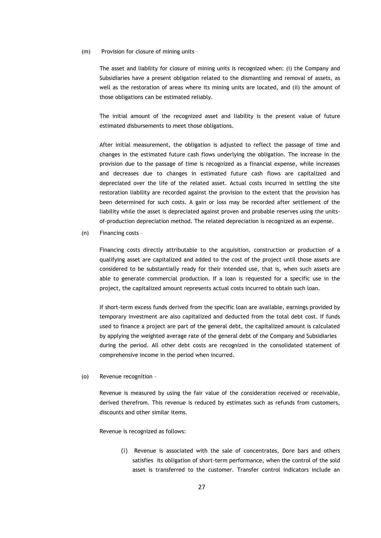#### (m) Provision for closure of mining units –

The asset and liability for closure of mining units is recognized when: (i) the Company and Subsidiaries have a present obligation related to the dismantling and removal of assets, as well as the restoration of areas where its mining units are located, and (ii) the amount of those obligations can be estimated reliably.

The initial amount of the recognized asset and liability is the present value of future estimated disbursements to meet those obligations.

After initial measurement, the obligation is adjusted to reflect the passage of time and changes in the estimated future cash flows underlying the obligation. The increase in the provision due to the passage of time is recognized as a financial expense, while increases and decreases due to changes in estimated future cash flows are capitalized and depreciated over the life of the related asset. Actual costs incurred in settling the site restoration liability are recorded against the provision to the extent that the provision has been determined for such costs. A gain or loss may be recorded after settlement of the liability while the asset is depreciated against proven and probable reserves using the unitsof-production depreciation method. The related depreciation is recognized as an expense.

(n) Financing costs –

Financing costs directly attributable to the acquisition, construction or production of a qualifying asset are capitalized and added to the cost of the project until those assets are considered to be substantially ready for their intended use, that is, when such assets are able to generate commercial production. If a loan is requested for a specific use in the project, the capitalized amount represents actual costs incurred to obtain such loan.

If short-term excess funds derived from the specific loan are available, earnings provided by temporary investment are also capitalized and deducted from the total debt cost. If funds used to finance a project are part of the general debt, the capitalized amount is calculated by applying the weighted average rate of the general debt of the Company and Subsidiaries during the period. All other debt costs are recognized in the consolidated statement of comprehensive income in the period when incurred.

(o) Revenue recognition –

Revenue is measured by using the fair value of the consideration received or receivable, derived therefrom. This revenue is reduced by estimates such as refunds from customers, discounts and other similar items.

Revenue is recognized as follows:

(i) Revenue is associated with the sale of concentrates, Dore bars and others satisfies its obligation of short-term performance, when the control of the sold asset is transferred to the customer. Transfer control indicators include an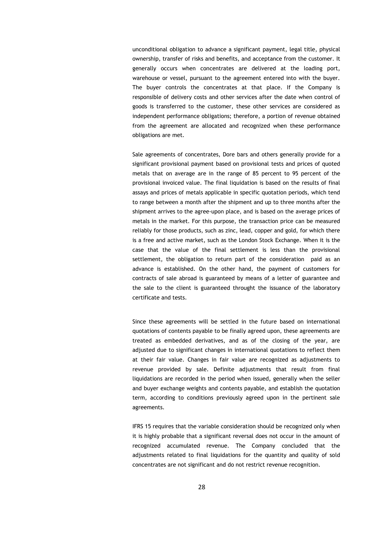unconditional obligation to advance a significant payment, legal title, physical ownership, transfer of risks and benefits, and acceptance from the customer. It generally occurs when concentrates are delivered at the loading port, warehouse or vessel, pursuant to the agreement entered into with the buyer. The buyer controls the concentrates at that place. If the Company is responsible of delivery costs and other services after the date when control of goods is transferred to the customer, these other services are considered as independent performance obligations; therefore, a portion of revenue obtained from the agreement are allocated and recognized when these performance obligations are met.

Sale agreements of concentrates, Dore bars and others generally provide for a significant provisional payment based on provisional tests and prices of quoted metals that on average are in the range of 85 percent to 95 percent of the provisional invoiced value. The final liquidation is based on the results of final assays and prices of metals applicable in specific quotation periods, which tend to range between a month after the shipment and up to three months after the shipment arrives to the agree-upon place, and is based on the average prices of metals in the market. For this purpose, the transaction price can be measured reliably for those products, such as zinc, lead, copper and gold, for which there is a free and active market, such as the London Stock Exchange. When it is the case that the value of the final settlement is less than the provisional settlement, the obligation to return part of the consideration paid as an advance is established. On the other hand, the payment of customers for contracts of sale abroad is guaranteed by means of a letter of guarantee and the sale to the client is guaranteed throught the issuance of the laboratory certificate and tests.

Since these agreements will be settled in the future based on international quotations of contents payable to be finally agreed upon, these agreements are treated as embedded derivatives, and as of the closing of the year, are adjusted due to significant changes in international quotations to reflect them at their fair value. Changes in fair value are recognized as adjustments to revenue provided by sale. Definite adjustments that result from final liquidations are recorded in the period when issued, generally when the seller and buyer exchange weights and contents payable, and establish the quotation term, according to conditions previously agreed upon in the pertinent sale agreements.

IFRS 15 requires that the variable consideration should be recognized only when it is highly probable that a significant reversal does not occur in the amount of recognized accumulated revenue. The Company concluded that the adjustments related to final liquidations for the quantity and quality of sold concentrates are not significant and do not restrict revenue recognition.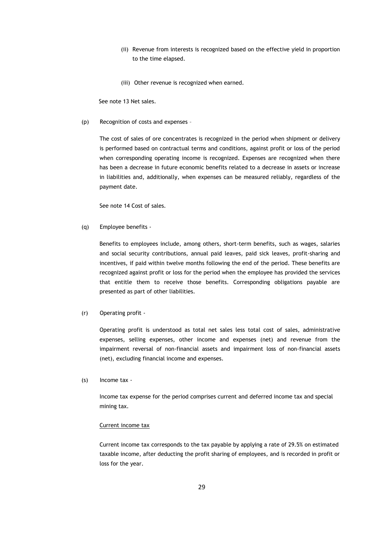- (ii) Revenue from interests is recognized based on the effective yield in proportion to the time elapsed.
- (iii) Other revenue is recognized when earned.

See note 13 Net sales.

(p) Recognition of costs and expenses –

The cost of sales of ore concentrates is recognized in the period when shipment or delivery is performed based on contractual terms and conditions, against profit or loss of the period when corresponding operating income is recognized. Expenses are recognized when there has been a decrease in future economic benefits related to a decrease in assets or increase in liabilities and, additionally, when expenses can be measured reliably, regardless of the payment date.

See note 14 Cost of sales.

(q) Employee benefits -

Benefits to employees include, among others, short-term benefits, such as wages, salaries and social security contributions, annual paid leaves, paid sick leaves, profit-sharing and incentives, if paid within twelve months following the end of the period. These benefits are recognized against profit or loss for the period when the employee has provided the services that entitle them to receive those benefits. Corresponding obligations payable are presented as part of other liabilities.

#### (r) Operating profit -

Operating profit is understood as total net sales less total cost of sales, administrative expenses, selling expenses, other income and expenses (net) and revenue from the impairment reversal of non-financial assets and impairment loss of non-financial assets (net), excluding financial income and expenses.

(s) Income tax -

Income tax expense for the period comprises current and deferred income tax and special mining tax.

#### Current income tax

Current income tax corresponds to the tax payable by applying a rate of 29.5% on estimated taxable income, after deducting the profit sharing of employees, and is recorded in profit or loss for the year.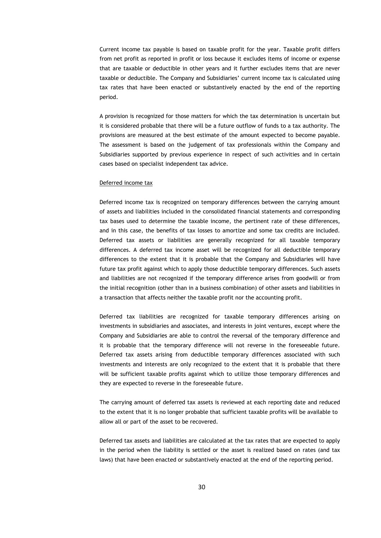Current income tax payable is based on taxable profit for the year. Taxable profit differs from net profit as reported in profit or loss because it excludes items of income or expense that are taxable or deductible in other years and it further excludes items that are never taxable or deductible. The Company and Subsidiaries' current income tax is calculated using tax rates that have been enacted or substantively enacted by the end of the reporting period.

A provision is recognized for those matters for which the tax determination is uncertain but it is considered probable that there will be a future outflow of funds to a tax authority. The provisions are measured at the best estimate of the amount expected to become payable. The assessment is based on the judgement of tax professionals within the Company and Subsidiaries supported by previous experience in respect of such activities and in certain cases based on specialist independent tax advice.

#### Deferred income tax

Deferred income tax is recognized on temporary differences between the carrying amount of assets and liabilities included in the consolidated financial statements and corresponding tax bases used to determine the taxable income, the pertinent rate of these differences, and in this case, the benefits of tax losses to amortize and some tax credits are included. Deferred tax assets or liabilities are generally recognized for all taxable temporary differences. A deferred tax income asset will be recognized for all deductible temporary differences to the extent that it is probable that the Company and Subsidiaries will have future tax profit against which to apply those deductible temporary differences. Such assets and liabilities are not recognized if the temporary difference arises from goodwill or from the initial recognition (other than in a business combination) of other assets and liabilities in a transaction that affects neither the taxable profit nor the accounting profit.

Deferred tax liabilities are recognized for taxable temporary differences arising on investments in subsidiaries and associates, and interests in joint ventures, except where the Company and Subsidiaries are able to control the reversal of the temporary difference and it is probable that the temporary difference will not reverse in the foreseeable future. Deferred tax assets arising from deductible temporary differences associated with such investments and interests are only recognized to the extent that it is probable that there will be sufficient taxable profits against which to utilize those temporary differences and they are expected to reverse in the foreseeable future.

The carrying amount of deferred tax assets is reviewed at each reporting date and reduced to the extent that it is no longer probable that sufficient taxable profits will be available to allow all or part of the asset to be recovered.

Deferred tax assets and liabilities are calculated at the tax rates that are expected to apply in the period when the liability is settled or the asset is realized based on rates (and tax laws) that have been enacted or substantively enacted at the end of the reporting period.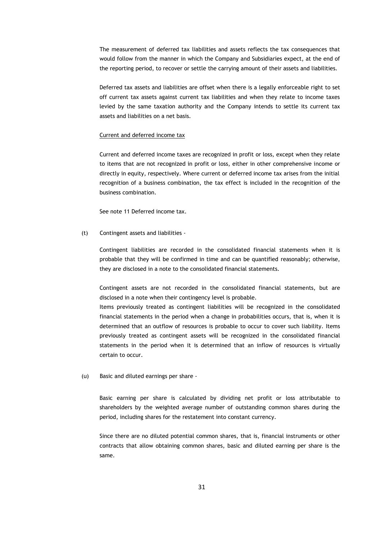The measurement of deferred tax liabilities and assets reflects the tax consequences that would follow from the manner in which the Company and Subsidiaries expect, at the end of the reporting period, to recover or settle the carrying amount of their assets and liabilities.

Deferred tax assets and liabilities are offset when there is a legally enforceable right to set off current tax assets against current tax liabilities and when they relate to income taxes levied by the same taxation authority and the Company intends to settle its current tax assets and liabilities on a net basis.

#### Current and deferred income tax

Current and deferred income taxes are recognized in profit or loss, except when they relate to items that are not recognized in profit or loss, either in other comprehensive income or directly in equity, respectively. Where current or deferred income tax arises from the initial recognition of a business combination, the tax effect is included in the recognition of the business combination.

See note 11 Deferred income tax.

(t) Contingent assets and liabilities -

Contingent liabilities are recorded in the consolidated financial statements when it is probable that they will be confirmed in time and can be quantified reasonably; otherwise, they are disclosed in a note to the consolidated financial statements.

Contingent assets are not recorded in the consolidated financial statements, but are disclosed in a note when their contingency level is probable.

Items previously treated as contingent liabilities will be recognized in the consolidated financial statements in the period when a change in probabilities occurs, that is, when it is determined that an outflow of resources is probable to occur to cover such liability. Items previously treated as contingent assets will be recognized in the consolidated financial statements in the period when it is determined that an inflow of resources is virtually certain to occur.

(u) Basic and diluted earnings per share -

Basic earning per share is calculated by dividing net profit or loss attributable to shareholders by the weighted average number of outstanding common shares during the period, including shares for the restatement into constant currency.

Since there are no diluted potential common shares, that is, financial instruments or other contracts that allow obtaining common shares, basic and diluted earning per share is the same.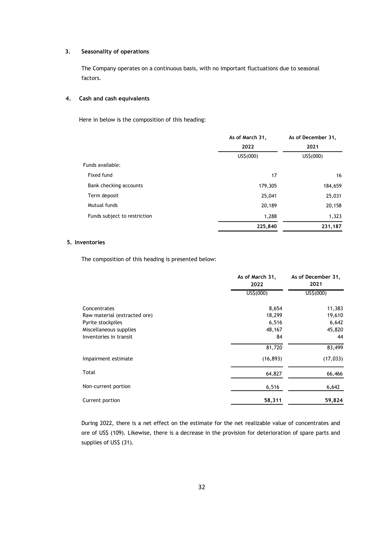#### **3. Seasonality of operations**

The Company operates on a continuous basis, with no important fluctuations due to seasonal factors.

#### **4. Cash and cash equivalents**

Here in below is the composition of this heading:

|                              | As of March 31, | As of December 31.<br>2021 |  |
|------------------------------|-----------------|----------------------------|--|
|                              | 2022            |                            |  |
|                              | US\$(000)       | US\$(000)                  |  |
| Funds available:             |                 |                            |  |
| Fixed fund                   | 17              | 16                         |  |
| Bank checking accounts       | 179,305         | 184,659                    |  |
| Term deposit                 | 25,041          | 25,031                     |  |
| Mutual funds                 | 20,189          | 20,158                     |  |
| Funds subject to restriction | 1,288           | 1,323                      |  |
|                              | 225,840         | 231,187                    |  |

### **5. Inventories**

The composition of this heading is presented below:

|                              | As of March 31,<br>2022 | As of December 31,<br>2021 |  |
|------------------------------|-------------------------|----------------------------|--|
|                              | US <sub>2</sub> (000)   | US <sub>5</sub> (000)      |  |
| Concentrates                 | 8,654                   | 11,383                     |  |
| Raw material (extracted ore) | 18,299                  | 19,610                     |  |
| Pyrite stockpiles            | 6,516                   | 6,642                      |  |
| Miscellaneous supplies       | 48,167                  | 45,820                     |  |
| Inventories in transit       | 84                      | 44                         |  |
|                              | 81,720                  | 83,499                     |  |
| Impairment estimate          | (16, 893)               | (17, 033)                  |  |
| Total                        | 64,827                  | 66,466                     |  |
| Non-current portion          | 6,516                   | 6,642                      |  |
| Current portion              | 58,311                  | 59,824                     |  |

During 2022, there is a net effect on the estimate for the net realizable value of concentrates and ore of US\$ (109). Likewise, there is a decrease in the provision for deterioration of spare parts and supplies of US\$ (31).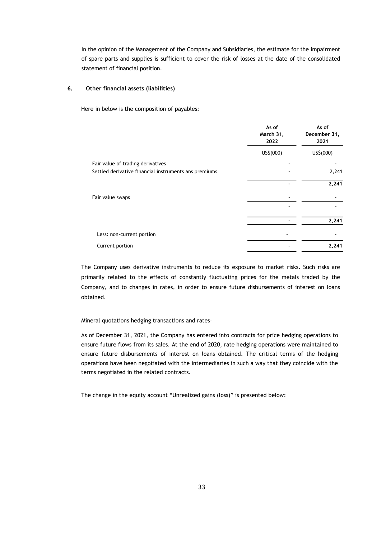In the opinion of the Management of the Company and Subsidiaries, the estimate for the impairment of spare parts and supplies is sufficient to cover the risk of losses at the date of the consolidated statement of financial position.

### **6. Other financial assets (liabilities)**

Here in below is the composition of payables:

|                                                       | As of<br>March 31,<br>2022 | As of<br>December 31,<br>2021 |
|-------------------------------------------------------|----------------------------|-------------------------------|
|                                                       | US\$(000)                  | US\$(000)                     |
| Fair value of trading derivatives                     |                            |                               |
| Settled derivative financial instruments ans premiums |                            | 2,241                         |
|                                                       |                            | 2,241                         |
| Fair value swaps                                      |                            |                               |
|                                                       |                            |                               |
|                                                       |                            | 2,241                         |
| Less: non-current portion                             |                            |                               |
| Current portion                                       |                            | 2,241                         |

The Company uses derivative instruments to reduce its exposure to market risks. Such risks are primarily related to the effects of constantly fluctuating prices for the metals traded by the Company, and to changes in rates, in order to ensure future disbursements of interest on loans obtained.

Mineral quotations hedging transactions and rates–

As of December 31, 2021, the Company has entered into contracts for price hedging operations to ensure future flows from its sales. At the end of 2020, rate hedging operations were maintained to ensure future disbursements of interest on loans obtained. The critical terms of the hedging operations have been negotiated with the intermediaries in such a way that they coincide with the terms negotiated in the related contracts.

The change in the equity account "Unrealized gains (loss)" is presented below: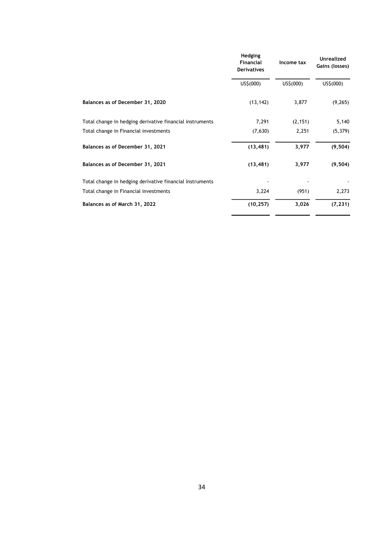|                                                          | Hedging<br>Financial<br><b>Derivatives</b> | Income tax | <b>Unrealized</b><br>Gains (losses) |
|----------------------------------------------------------|--------------------------------------------|------------|-------------------------------------|
|                                                          | US\$(000)                                  | US\$(000)  | US\$(000)                           |
| Balances as of December 31, 2020                         | (13, 142)                                  | 3,877      | (9, 265)                            |
| Total change in hedging derivative financial instruments | 7,291                                      | (2, 151)   | 5,140                               |
| Total change in Financial investments                    | (7,630)                                    | 2,251      | (5, 379)                            |
| Balances as of December 31, 2021                         | (13, 481)                                  | 3,977      | (9, 504)                            |
| Balances as of December 31, 2021                         | (13, 481)                                  | 3,977      | (9, 504)                            |
| Total change in hedging derivative financial instruments |                                            |            |                                     |
| Total change in Financial investments                    | 3,224                                      | (951)      | 2,273                               |
| Balances as of March 31, 2022                            | (10, 257)                                  | 3,026      | (7, 231)                            |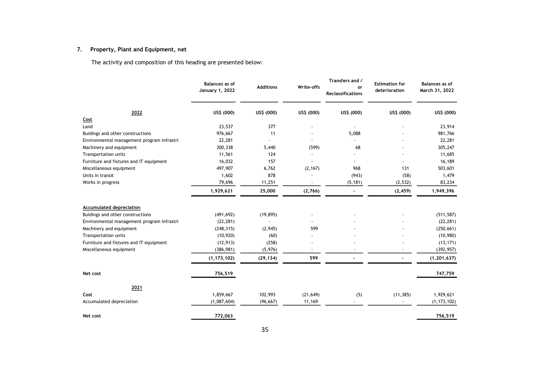# **7. Property, Plant and Equipment, net**

|                                            | <b>Balances</b> as of<br>January 1, 2022 | <b>Additions</b> | Write-offs | Transfers and /<br>or<br><b>Reclassifications</b> | <b>Estimation for</b><br>deterioration | Balances as of<br>March 31, 2022 |
|--------------------------------------------|------------------------------------------|------------------|------------|---------------------------------------------------|----------------------------------------|----------------------------------|
| 2022                                       | US\$ (000)                               | US\$ (000)       | US\$ (000) | US\$ (000)                                        | US\$ (000)                             | US\$ (000)                       |
| Cost                                       |                                          |                  |            |                                                   |                                        |                                  |
| Land                                       | 23,537                                   | 377              |            |                                                   |                                        | 23,914                           |
| Buidings and other constructions           | 976,667                                  | 11               |            | 5,088                                             |                                        | 981,766                          |
| Environmental management program infrastrl | 22,281                                   |                  |            |                                                   |                                        | 22,281                           |
| Machinery and equipment                    | 300,338                                  | 5,440            | (599)      | 68                                                |                                        | 305,247                          |
| Transportation units                       | 11,561                                   | 124              |            |                                                   |                                        | 11,685                           |
| Furniture and fixtures and IT equipment    | 16,032                                   | 157              |            |                                                   |                                        | 16,189                           |
| Miscellaneous equipment                    | 497,907                                  | 6,762            | (2, 167)   | 968                                               | 131                                    | 503,601                          |
| Units in transit                           | 1,602                                    | 878              |            | (943)                                             | (58)                                   | 1,479                            |
| Works in progress                          | 79,696                                   | 11,251           |            | (5, 181)                                          | (2, 532)                               | 83,234                           |
|                                            | 1,929,621                                | 25,000           | (2,766)    | ÷                                                 | (2, 459)                               | 1,949,396                        |
| <b>Accumulated depreciation</b>            |                                          |                  |            |                                                   |                                        |                                  |
| Buidings and other constructions           | (491, 692)                               | (19, 895)        |            |                                                   |                                        | (511, 587)                       |
| Environmental management program infrastrl | (22, 281)                                |                  |            |                                                   |                                        | (22, 281)                        |
| Machinery and equipment                    | (248, 315)                               | (2,945)          | 599        |                                                   |                                        | (250, 661)                       |
| Transportation units                       | (10, 920)                                | (60)             |            |                                                   |                                        | (10,980)                         |
| Furniture and fixtures and IT equipment    | (12, 913)                                | (258)            |            |                                                   |                                        | (13, 171)                        |
| Miscellaneous equipment                    | (386, 981)                               | (5,976)          |            |                                                   |                                        | (392, 957)                       |
|                                            | (1, 173, 102)                            | (29, 134)        | 599        |                                                   |                                        | (1, 201, 637)                    |
| Net cost                                   | 756,519                                  |                  |            |                                                   |                                        | 747,759                          |
| 2021                                       |                                          |                  |            |                                                   |                                        |                                  |
| Cost                                       | 1,859,667                                | 102,993          | (21, 649)  | (5)                                               | (11, 385)                              | 1,929,621                        |
| Accumulated depreciation                   | (1,087,604)                              | (96, 667)        | 11,169     |                                                   |                                        | (1, 173, 102)                    |
|                                            |                                          |                  |            |                                                   |                                        |                                  |
| Net cost                                   | 772,063                                  |                  |            |                                                   |                                        | 756,519                          |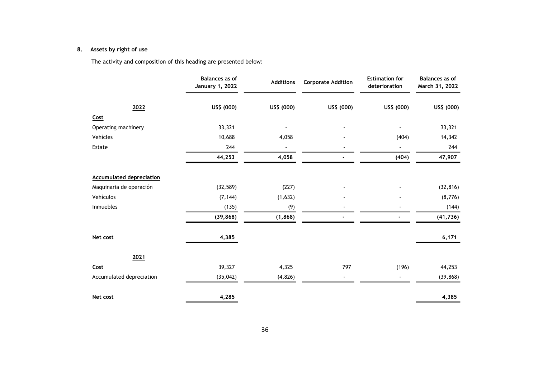# **8. Assets by right of use**

|                                 | <b>Balances</b> as of<br><b>January 1, 2022</b> | <b>Additions</b> | <b>Corporate Addition</b> | <b>Estimation for</b><br>deterioration | <b>Balances</b> as of<br>March 31, 2022 |
|---------------------------------|-------------------------------------------------|------------------|---------------------------|----------------------------------------|-----------------------------------------|
| 2022                            | US\$ (000)                                      | US\$ (000)       | US\$ (000)                | US\$ (000)                             | US\$ (000)                              |
| Cost                            |                                                 |                  |                           |                                        |                                         |
| Operating machinery             | 33,321                                          |                  |                           | $\blacksquare$                         | 33,321                                  |
| Vehícles                        | 10,688                                          | 4,058            |                           | (404)                                  | 14,342                                  |
| Estate                          | 244                                             |                  |                           |                                        | 244                                     |
|                                 | 44,253                                          | 4,058            |                           | (404)                                  | 47,907                                  |
| <b>Accumulated depreciation</b> |                                                 |                  |                           |                                        |                                         |
| Maquinaria de operación         | (32, 589)                                       | (227)            |                           |                                        | (32, 816)                               |
| Vehículos                       | (7, 144)                                        | (1,632)          |                           |                                        | (8,776)                                 |
| Inmuebles                       | (135)                                           | (9)              |                           |                                        | (144)                                   |
|                                 | (39, 868)                                       | (1, 868)         |                           |                                        | (41, 736)                               |
| Net cost                        | 4,385                                           |                  |                           |                                        | 6,171                                   |
| 2021                            |                                                 |                  |                           |                                        |                                         |
| Cost                            | 39,327                                          | 4,325            | 797                       | (196)                                  | 44,253                                  |
| Accumulated depreciation        | (35, 042)                                       | (4,826)          | $\blacksquare$            | $\overline{\phantom{a}}$               | (39, 868)                               |
| Net cost                        | 4,285                                           |                  |                           |                                        | 4,385                                   |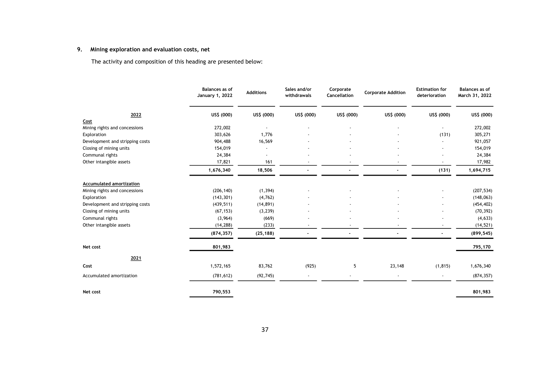# **9. Mining exploration and evaluation costs, net**

|                                       | <b>Balances</b> as of<br>January 1, 2022 | <b>Additions</b> | Sales and/or<br>withdrawals | Corporate<br>Cancellation | <b>Corporate Addition</b> | <b>Estimation for</b><br>deterioration | Balances as of<br>March 31, 2022 |
|---------------------------------------|------------------------------------------|------------------|-----------------------------|---------------------------|---------------------------|----------------------------------------|----------------------------------|
| 2022                                  | US\$ (000)                               | US\$ (000)       | US\$ (000)                  | US\$ (000)                | US\$ (000)                | US\$ (000)                             | US\$ (000)                       |
| Cost<br>Mining rights and concessions | 272,002                                  |                  |                             |                           |                           |                                        | 272,002                          |
| Exploration                           | 303,626                                  | 1,776            |                             |                           |                           | (131)                                  | 305,271                          |
| Development and stripping costs       | 904,488                                  | 16,569           |                             |                           |                           |                                        | 921,057                          |
| Closing of mining units               | 154,019                                  |                  |                             |                           |                           |                                        | 154,019                          |
| Communal rights                       | 24,384                                   |                  |                             |                           |                           |                                        | 24,384                           |
| Other intangible assets               | 17,821                                   | 161              |                             |                           |                           |                                        | 17,982                           |
|                                       | 1,676,340                                | 18,506           |                             |                           |                           | (131)                                  | 1,694,715                        |
| Accumulated amortization              |                                          |                  |                             |                           |                           |                                        |                                  |
| Mining rights and concessions         | (206, 140)                               | (1, 394)         |                             |                           |                           |                                        | (207, 534)                       |
| Exploration                           | (143, 301)                               | (4, 762)         |                             |                           |                           |                                        | (148, 063)                       |
| Development and stripping costs       | (439, 511)                               | (14, 891)        |                             |                           |                           |                                        | (454, 402)                       |
| Closing of mining units               | (67, 153)                                | (3, 239)         |                             |                           |                           |                                        | (70, 392)                        |
| Communal rights                       | (3,964)                                  | (669)            |                             |                           |                           |                                        | (4, 633)                         |
| Other intangible assets               | (14, 288)                                | (233)            |                             |                           |                           |                                        | (14, 521)                        |
|                                       | (874, 357)                               | (25, 188)        |                             |                           |                           |                                        | (899, 545)                       |
| Net cost                              | 801,983                                  |                  |                             |                           |                           |                                        | 795,170                          |
| 2021                                  |                                          |                  |                             |                           |                           |                                        |                                  |
| Cost                                  | 1,572,165                                | 83,762           | (925)                       | 5                         | 23,148                    | (1, 815)                               | 1,676,340                        |
| Accumulated amortization              | (781, 612)                               | (92, 745)        |                             |                           |                           |                                        | (874, 357)                       |
| Net cost                              | 790,553                                  |                  |                             |                           |                           |                                        | 801,983                          |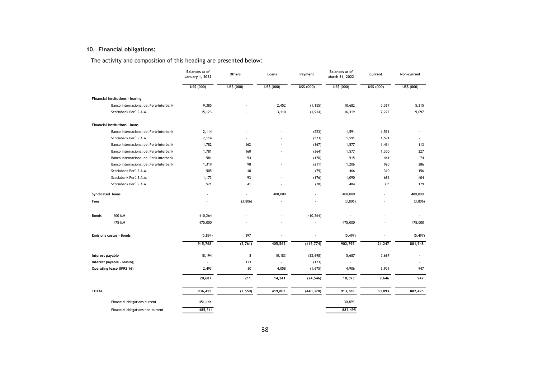# **10. Financial obligations:**

|                  |                                        | Balances as of<br><b>January 1, 2022</b> | Others     | Loans      | Payment    | <b>Balances as of</b><br>March 31, 2022 | Current    | Non-current |
|------------------|----------------------------------------|------------------------------------------|------------|------------|------------|-----------------------------------------|------------|-------------|
|                  |                                        | US\$ (000)                               | US\$ (000) | US\$ (000) | US\$ (000) | US\$ (000)                              | US\$ (000) | US\$ (000)  |
|                  | Financial Institutions - leasing       |                                          |            |            |            |                                         |            |             |
|                  | Banco internacional del Perú-Interbank | 9,385                                    |            | 2,452      | (1, 155)   | 10,682                                  | 5,367      | 5,315       |
|                  | Scotiabank Perú S.A.A.                 | 15,123                                   |            | 3,110      | (1, 914)   | 16,319                                  | 7,222      | 9,097       |
|                  | Financial Institutions - loans         |                                          |            |            |            |                                         |            |             |
|                  | Banco internacional del Perú-Interbank | 2,114                                    |            |            | (523)      | 1,591                                   | 1,591      |             |
|                  | Scotiabank Perú S.A.A.                 | 2,114                                    |            |            | (523)      | 1,591                                   | 1,591      |             |
|                  | Banco internacional del Perú-Interbank | 1,782                                    | 162        |            | (367)      | 1,577                                   | 1,464      | 113         |
|                  | Banco internacional del Perú-Interbank | 1,781                                    | 160        |            | (364)      | 1,577                                   | 1,350      | 227         |
|                  | Banco internacional del Perú-Interbank | 581                                      | 54         |            | (120)      | 515                                     | 441        | 74          |
|                  | Banco internacional del Perú-Interbank | 1,319                                    | 98         |            | (211)      | 1,206                                   | 920        | 286         |
|                  | Scotiabank Perú S.A.A.                 | 505                                      | 40         |            | (79)       | 466                                     | 310        | 156         |
|                  | Scotiabank Perú S.A.A.                 | 1,173                                    | 93         |            | (176)      | 1,090                                   | 686        | 404         |
|                  | Scotiabank Perú S.A.A.                 | 521                                      | 41         |            | (78)       | 484                                     | 305        | 179         |
| Syndicated loans |                                        |                                          |            | 400,000    |            | 400,000                                 |            | 400,000     |
| Fees             |                                        |                                          | (3,806)    |            |            | (3,806)                                 |            | (3,806)     |
| Bonds            | 600 MM                                 | 410,264                                  |            |            | (410, 264) |                                         |            |             |
|                  | 475 MM                                 | 475,000                                  |            |            |            | 475,000                                 |            | 475,000     |
|                  | <b>Emisions costos - Bonds</b>         | (5,894)                                  | 397        |            |            | (5, 497)                                |            | (5, 497)    |
|                  |                                        | 915,768                                  | (2,761)    | 405,562    | (415, 774) | 902,795                                 | 21,247     | 881,548     |
| Interest payable |                                        | 18,194                                   | 8          | 10,183     | (22, 698)  | 5,687                                   | 5,687      |             |
|                  | Interest payable - leasing             |                                          | 173        |            | (173)      |                                         |            |             |
|                  | Operating lease (IFRS 16)              | 2,493                                    | 30         | 4,058      | (1,675)    | 4,906                                   | 3,959      | 947         |
|                  |                                        | 20,687                                   | 211        | 14,241     | (24, 546)  | 10,593                                  | 9,646      | 947         |
| <b>TOTAL</b>     |                                        | 936,455                                  | (2, 550)   | 419,803    | (440, 320) | 913,388                                 | 30,893     | 882,495     |
|                  | Financial obligations current          | 451,144                                  |            |            |            | 30,893                                  |            |             |
|                  | Financial obligations non-current      | 485,311                                  |            |            |            | 882,495                                 |            |             |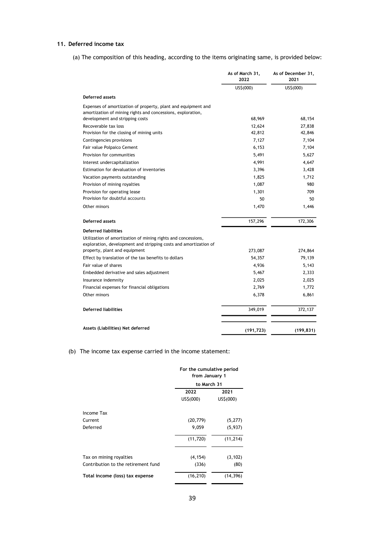## **11. Deferred income tax**

(a) The composition of this heading, according to the items originating same, is provided below:

|                                                                                                                                   | As of March 31,<br>2022 | As of December 31,<br>2021 |
|-----------------------------------------------------------------------------------------------------------------------------------|-------------------------|----------------------------|
|                                                                                                                                   | US\$(000)               | US\$(000)                  |
| Deferred assets                                                                                                                   |                         |                            |
| Expenses of amortization of property, plant and equipment and<br>amortization of mining rights and concessions, exploration,      |                         |                            |
| development and stripping costs                                                                                                   | 68,969                  | 68,154                     |
| Recoverable tax loss                                                                                                              | 12,624                  | 27,838                     |
| Provision for the closing of mining units                                                                                         | 42,812                  | 42,846                     |
| Contingencies provisions                                                                                                          | 7,127                   | 7,104                      |
| Fair value Polpaico Cement                                                                                                        | 6,153                   | 7,104                      |
| Provision for communities                                                                                                         | 5,491                   | 5,627                      |
| Interest undercapitalization                                                                                                      | 4,991                   | 4,647                      |
| Estimation for devaluation of inventories                                                                                         | 3,396                   | 3,428                      |
| Vacation payments outstanding                                                                                                     | 1,825                   | 1,712                      |
| Provision of mining royalties                                                                                                     | 1,087                   | 980                        |
| Provision for operating lease                                                                                                     | 1,301                   | 709                        |
| Provision for doubtful accounts                                                                                                   | 50                      | 50                         |
| Other minors                                                                                                                      | 1,470                   | 1,446                      |
| Deferred assets                                                                                                                   | 157,296                 | 172,306                    |
| <b>Deferred liabilities</b>                                                                                                       |                         |                            |
| Utilization of amortization of mining rights and concessions,<br>exploration, development and stripping costs and amortization of |                         |                            |
| property, plant and equipment                                                                                                     | 273,087                 | 274,864                    |
| Effect by translation of the tax benefits to dollars                                                                              | 54,357                  | 79,139                     |
| Fair value of shares                                                                                                              | 4,936                   | 5,143                      |
| Embedded derivative and sales adjustment                                                                                          | 5,467                   | 2,333                      |
| Insurance indemnity                                                                                                               | 2,025                   | 2,025                      |
| Financial expenses for financial obligations                                                                                      | 2,769                   | 1,772                      |
| Other minors                                                                                                                      | 6,378                   | 6,861                      |
| <b>Deferred liabilities</b>                                                                                                       | 349,019                 | 372,137                    |
| Assets (Liabilities) Net deferred                                                                                                 | (191, 723)              | (199, 831)                 |

## (b) The income tax expense carried in the income statement:

|                                     | For the cumulative period<br>from January 1<br>to March 31 |           |  |
|-------------------------------------|------------------------------------------------------------|-----------|--|
|                                     |                                                            |           |  |
|                                     | 2022                                                       | 2021      |  |
|                                     | US\$(000)                                                  | US\$(000) |  |
| Income Tax                          |                                                            |           |  |
| Current                             | (20, 779)                                                  | (5, 277)  |  |
| Deferred                            | 9,059                                                      | (5,937)   |  |
|                                     | (11, 720)                                                  | (11, 214) |  |
| Tax on mining royalties             | (4, 154)                                                   | (3, 102)  |  |
| Contribution to the retirement fund | (336)                                                      | (80)      |  |
| Total income (loss) tax expense     | (16, 210)                                                  | (14, 396) |  |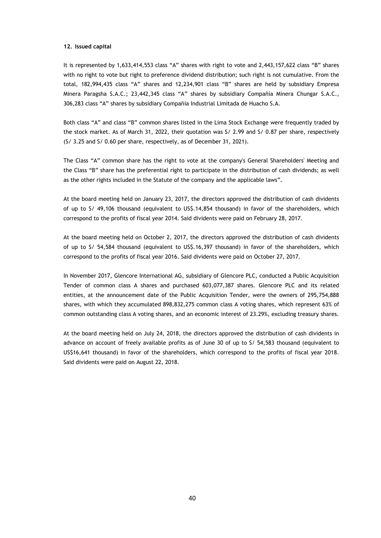#### **12. Issued capital**

It is represented by 1,633,414,553 class "A" shares with right to vote and 2,443,157,622 class "B" shares with no right to vote but right to preference dividend distribution; such right is not cumulative. From the total, 182,994,435 class "A" shares and 12,234,901 class "B" shares are held by subsidiary Empresa Minera Paragsha S.A.C.; 23,442,345 class "A" shares by subsidiary Compañía Minera Chungar S.A.C., 306,283 class "A" shares by subsidiary Compañía Industrial Limitada de Huacho S.A.

Both class "A" and class "B" common shares listed in the Lima Stock Exchange were frequently traded by the stock market. As of March 31, 2022, their quotation was S/ 2.99 and S/ 0.87 per share, respectively (S/ 3.25 and S/ 0.60 per share, respectively, as of December 31, 2021).

The Class "A" common share has the right to vote at the company's General Shareholders' Meeting and the Class "B" share has the preferential right to participate in the distribution of cash dividends; as well as the other rights included in the Statute of the company and the applicable laws".

At the board meeting held on January 23, 2017, the directors approved the distribution of cash dividents of up to S/ 49,106 thousand (equivalent to US\$.14,854 thousand) in favor of the shareholders, which correspond to the profits of fiscal year 2014. Said dividents were paid on February 28, 2017.

At the board meeting held on October 2, 2017, the directors approved the distribution of cash dividents of up to S/ 54,584 thousand (equivalent to US\$.16,397 thousand) in favor of the shareholders, which correspond to the profits of fiscal year 2016. Said dividents were paid on October 27, 2017.

In November 2017, Glencore International AG, subsidiary of Glencore PLC, conducted a Public Acquisition Tender of common class A shares and purchased 603,077,387 shares. Glencore PLC and its related entities, at the announcement date of the Public Acquisition Tender, were the owners of 295,754,888 shares, with which they accumulated 898,832,275 common class A voting shares, which represent 63% of common outstanding class A voting shares, and an economic interest of 23.29%, excluding treasury shares.

At the board meeting held on July 24, 2018, the directors approved the distribution of cash dividents in advance on account of freely available profits as of June 30 of up to S/ 54,583 thousand (equivalent to US\$16,641 thousand) in favor of the shareholders, which correspond to the profits of fiscal year 2018. Said dividents were paid on August 22, 2018.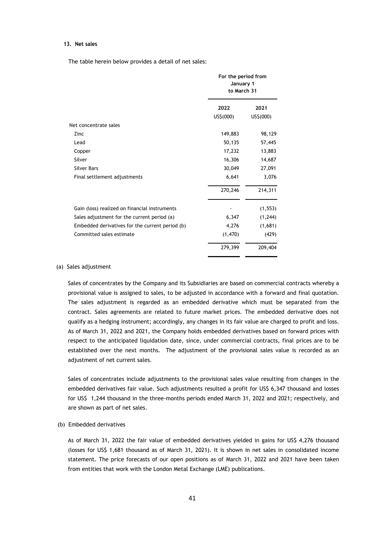#### **13. Net sales**

The table herein below provides a detail of net sales:

|                                                 | For the period from<br>January 1<br>to March 31 |           |  |
|-------------------------------------------------|-------------------------------------------------|-----------|--|
|                                                 | 2022                                            | 2021      |  |
|                                                 | US\$(000)                                       | US\$(000) |  |
| Net concentrate sales                           |                                                 |           |  |
| Zinc                                            | 149,883                                         | 98,129    |  |
| Lead                                            | 50,135                                          | 57,445    |  |
| Copper                                          | 17,232                                          | 13,883    |  |
| Silver                                          | 16,306                                          | 14,687    |  |
| <b>Silver Bars</b>                              | 30,049                                          | 27,091    |  |
| Final settlement adjustments                    | 6,641                                           | 3,076     |  |
|                                                 | 270,246                                         | 214,311   |  |
| Gain (loss) realized on financial instruments   |                                                 | (1, 553)  |  |
| Sales adjustment for the current period (a)     | 6,347                                           | (1, 244)  |  |
| Embedded derivatives for the current period (b) | 4,276                                           | (1,681)   |  |
| Committed sales estimate                        | (1,470)                                         | (429)     |  |
|                                                 | 279,399                                         | 209,404   |  |

#### (a) Sales adjustment

Sales of concentrates by the Company and its Subsidiaries are based on commercial contracts whereby a provisional value is assigned to sales, to be adjusted in accordance with a forward and final quotation. The sales adjustment is regarded as an embedded derivative which must be separated from the contract. Sales agreements are related to future market prices. The embedded derivative does not qualify as a hedging instrument; accordingly, any changes in its fair value are charged to profit and loss. As of March 31, 2022 and 2021, the Company holds embedded derivatives based on forward prices with respect to the anticipated liquidation date, since, under commercial contracts, final prices are to be established over the next months. The adjustment of the provisional sales value is recorded as an adjustment of net current sales.

Sales of concentrates include adjustments to the provisional sales value resulting from changes in the embedded derivatives fair value. Such adjustments resulted a profit for US\$ 6,347 thousand and losses for US\$ 1,244 thousand in the three-months periods ended March 31, 2022 and 2021; respectively, and are shown as part of net sales.

#### (b) Embedded derivatives

As of March 31, 2022 the fair value of embedded derivatives yielded in gains for US\$ 4,276 thousand (losses for US\$ 1,681 thousand as of March 31, 2021). It is shown in net sales in consolidated income statement. The price forecasts of our open positions as of March 31, 2022 and 2021 have been taken from entities that work with the London Metal Exchange (LME) publications.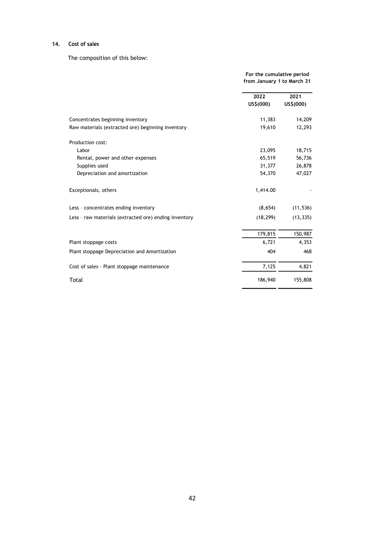### **14. Cost of sales**

The composition of this below:

**2022 2021 US\$(000) US\$(000)** Concentrates beginning inventory 11,383 14,209 Raw materials (extracted ore) beginning inventory 19,610 12,293 Production cost: Labor 23,095 18,715 Rental, power and other expenses 65,519 56,736 Supplies used 31,377 26,878 Depreciation and amortization 54,370 47,027 Exceptionals, others and the contract of the contract of the contract of the contract of the contract of the contract of the contract of the contract of the contract of the contract of the contract of the contract of the c Less - concentrates ending inventory (8,654) (11,536) Less - raw materials (extracted ore) ending inventory (18,299) (13,335) 179,815 150,987 Plant stoppage costs and the state of the state of the state of the state of the 4,353 Plant stoppage Depreciation and Amortization 404 468 Cost of sales - Plant stoppage maintenance 7,125 4,821 Total 186,940 155,808 **from January 1 to March 31**

**For the cumulative period**